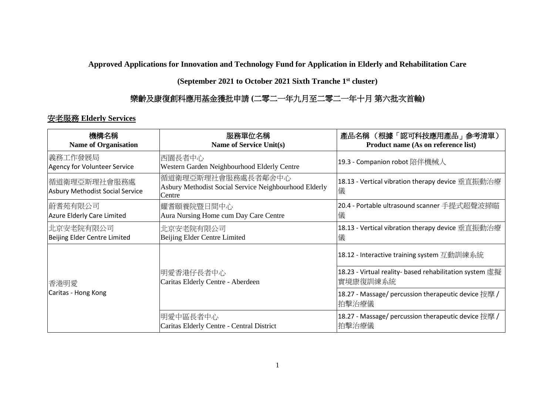**Approved Applications for Innovation and Technology Fund for Application in Elderly and Rehabilitation Care** 

**(September 2021 to October 2021 Sixth Tranche 1 st cluster)**

## 樂齡及康復創科應用基金獲批申請 **(**二零二一年九月至二零二一年十月 第六批次首輪**)**

## 安老服務 **Elderly Services**

| 機構名稱<br><b>Name of Organisation</b>              | 服務單位名稱<br>Name of Service Unit(s)                                                     | 產品名稱 (根據「認可科技應用產品」參考清單)<br>Product name (As on reference list)       |
|--------------------------------------------------|---------------------------------------------------------------------------------------|----------------------------------------------------------------------|
| 義務工作發展局 <br>Agency for Volunteer Service         | 西園長者中心<br>Western Garden Neighbourhood Elderly Centre                                 | 19.3 - Companion robot 陪伴機械人                                         |
| 循道衛理亞斯理社會服務處 <br>Asbury Methodist Social Service | 循道衛理亞斯理社會服務處長者鄰舍中心<br>Asbury Methodist Social Service Neighbourhood Elderly<br>Centre | 18.13 - Vertical vibration therapy device 垂直振動治療<br>儀                |
| 蔚耆苑有限公司<br>Azure Elderly Care Limited            | 耀耆頤養院暨日間中心<br>Aura Nursing Home cum Day Care Centre                                   | 20.4 - Portable ultrasound scanner 手提式超聲波掃瞄<br>儀                     |
| 北京安老院有限公司<br>Beijing Elder Centre Limited        | 北京安老院有限公司<br>Beijing Elder Centre Limited                                             | 18.13 - Vertical vibration therapy device 垂直振動治療<br>儀                |
|                                                  |                                                                                       | 18.12 - Interactive training system 互動訓練系統                           |
| 香港明愛<br>Caritas - Hong Kong                      | 明愛香港仔長者中心<br>Caritas Elderly Centre - Aberdeen                                        | 18.23 - Virtual reality- based rehabilitation system 虛擬<br> 實境康復訓練系統 |
|                                                  |                                                                                       | 18.27 - Massage/ percussion therapeutic device 按摩 /<br>拍擊治療儀         |
|                                                  | 明愛中區長者中心<br>Caritas Elderly Centre - Central District                                 | 18.27 - Massage/ percussion therapeutic device 按摩 /<br>拍擊治療儀         |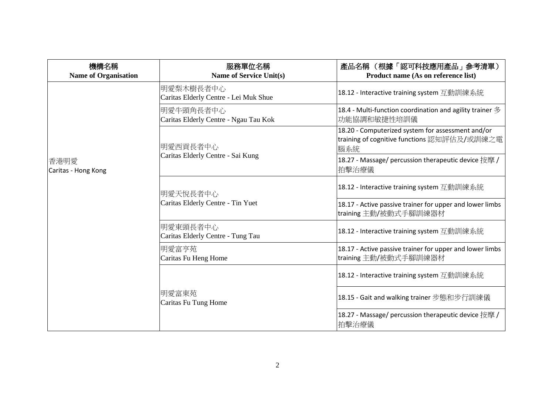| 機構名稱<br><b>Name of Organisation</b> | 服務單位名稱<br><b>Name of Service Unit(s)</b>           | 產品名稱 (根據「認可科技應用產品」參考清單)<br>Product name (As on reference list)                                          |
|-------------------------------------|----------------------------------------------------|---------------------------------------------------------------------------------------------------------|
|                                     | 明愛梨木樹長者中心<br>Caritas Elderly Centre - Lei Muk Shue | 18.12 - Interactive training system 互動訓練系統                                                              |
|                                     | 明愛牛頭角長者中心<br>Caritas Elderly Centre - Ngau Tau Kok | 18.4 - Multi-function coordination and agility trainer $\mathcal{\hat{B}}$<br>功能協調和敏捷性培訓儀               |
| 香港明愛<br>Caritas - Hong Kong         | 明愛西貢長者中心<br>Caritas Elderly Centre - Sai Kung      | 18.20 - Computerized system for assessment and/or<br>training of cognitive functions 認知評估及/或訓練之電<br>腦系統 |
|                                     |                                                    | 18.27 - Massage/ percussion therapeutic device 按摩 /<br>拍擊治療儀                                            |
|                                     | 明愛天悅長者中心<br>Caritas Elderly Centre - Tin Yuet      | 18.12 - Interactive training system 互動訓練系統                                                              |
|                                     |                                                    | 18.17 - Active passive trainer for upper and lower limbs<br>training 主動/被動式手腳訓練器材                       |
|                                     | 明愛東頭長者中心<br>Caritas Elderly Centre - Tung Tau      | 18.12 - Interactive training system 互動訓練系統                                                              |
|                                     | 明愛富亨苑<br>Caritas Fu Heng Home                      | 18.17 - Active passive trainer for upper and lower limbs<br>training 主動/被動式手腳訓練器材                       |
|                                     |                                                    | 18.12 - Interactive training system 互動訓練系統                                                              |
|                                     | 明愛富東苑<br>Caritas Fu Tung Home                      | 18.15 - Gait and walking trainer 步態和步行訓練儀                                                               |
|                                     |                                                    | 18.27 - Massage/ percussion therapeutic device 按摩 /<br>拍擊治療儀                                            |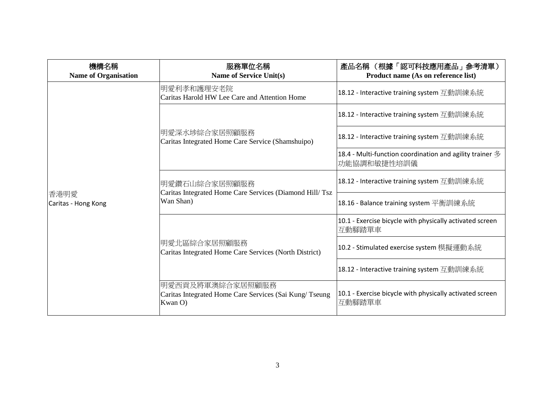| 機構名稱<br><b>Name of Organisation</b> | 服務單位名稱<br><b>Name of Service Unit(s)</b>                                              | 產品名稱 (根據「認可科技應用產品」參考清單)<br>Product name (As on reference list)                            |
|-------------------------------------|---------------------------------------------------------------------------------------|-------------------------------------------------------------------------------------------|
|                                     | 明愛利孝和護理安老院<br>Caritas Harold HW Lee Care and Attention Home                           | 18.12 - Interactive training system 互動訓練系統                                                |
|                                     | 明愛深水埗綜合家居照顧服務<br>Caritas Integrated Home Care Service (Shamshuipo)                    | 18.12 - Interactive training system 互動訓練系統                                                |
|                                     |                                                                                       | 18.12 - Interactive training system 互動訓練系統                                                |
| 香港明愛<br>Caritas - Hong Kong         |                                                                                       | 18.4 - Multi-function coordination and agility trainer $\mathcal{\hat{B}}$<br>功能協調和敏捷性培訓儀 |
|                                     | 明愛鑽石山綜合家居照顧服務<br>Caritas Integrated Home Care Services (Diamond Hill/Tsz<br>Wan Shan) | 18.12 - Interactive training system 互動訓練系統                                                |
|                                     |                                                                                       | 18.16 - Balance training system 平衡訓練系統                                                    |
|                                     | 明愛北區綜合家居照顧服務<br>Caritas Integrated Home Care Services (North District)                | 10.1 - Exercise bicycle with physically activated screen<br>互動腳踏單車                        |
|                                     |                                                                                       | 10.2 - Stimulated exercise system 模擬運動系統                                                  |
|                                     |                                                                                       | 18.12 - Interactive training system 互動訓練系統                                                |
|                                     | 明愛西貢及將軍澳綜合家居照顧服務<br>Caritas Integrated Home Care Services (Sai Kung/Tseung<br>Kwan O) | 10.1 - Exercise bicycle with physically activated screen<br>互動腳踏單車                        |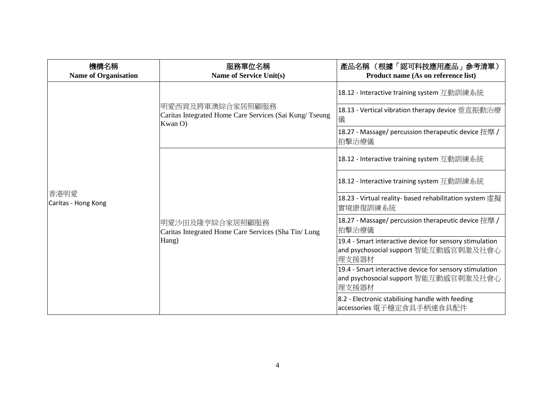| 機構名稱<br><b>Name of Organisation</b> | 服務單位名稱<br><b>Name of Service Unit(s)</b>                                              | 產品名稱 (根據「認可科技應用產品」參考清單)<br>Product name (As on reference list)                                            |
|-------------------------------------|---------------------------------------------------------------------------------------|-----------------------------------------------------------------------------------------------------------|
|                                     | 明愛西貢及將軍澳綜合家居照顧服務<br>Caritas Integrated Home Care Services (Sai Kung/Tseung<br>Kwan O) | 18.12 - Interactive training system 互動訓練系統                                                                |
|                                     |                                                                                       | 18.13 - Vertical vibration therapy device 垂直振動治療<br>儀                                                     |
| 香港明愛<br>Caritas - Hong Kong         |                                                                                       | 18.27 - Massage/ percussion therapeutic device 按摩 /<br>拍擊治療儀                                              |
|                                     | 明愛沙田及隆亨綜合家居照顧服務<br>Caritas Integrated Home Care Services (Sha Tin/ Lung<br>Hang)      | 18.12 - Interactive training system 互動訓練系統                                                                |
|                                     |                                                                                       | 18.12 - Interactive training system 互動訓練系統                                                                |
|                                     |                                                                                       | 18.23 - Virtual reality- based rehabilitation system 虛擬<br>實境康復訓練系統                                       |
|                                     |                                                                                       | 18.27 - Massage/ percussion therapeutic device 按摩 /<br>拍擊治療儀                                              |
|                                     |                                                                                       | 19.4 - Smart interactive device for sensory stimulation<br>and psychosocial support 智能互動感官刺激及社會心<br>理支援器材 |
|                                     |                                                                                       | 19.4 - Smart interactive device for sensory stimulation<br>and psychosocial support 智能互動感官刺激及社會心          |
|                                     |                                                                                       | 理支援器材<br>8.2 - Electronic stabilising handle with feeding<br>accessories 電子穩定食具手柄連食具配件                    |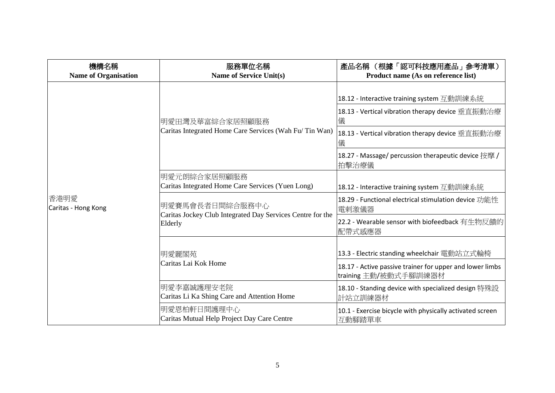| 機構名稱<br><b>Name of Organisation</b> | 服務單位名稱<br><b>Name of Service Unit(s)</b>                                                 | 產品名稱(根據「認可科技應用產品」參考清單)<br>Product name (As on reference list)                                                                                                                                                                |
|-------------------------------------|------------------------------------------------------------------------------------------|------------------------------------------------------------------------------------------------------------------------------------------------------------------------------------------------------------------------------|
| 香港明愛<br>Caritas - Hong Kong         | 明愛田灣及華富綜合家居照顧服務<br>Caritas Integrated Home Care Services (Wah Fu/Tin Wan)                | 18.12 - Interactive training system 互動訓練系統<br>18.13 - Vertical vibration therapy device 垂直振動治療<br>儀<br>18.13 - Vertical vibration therapy device 垂直振動治療<br>儀<br>18.27 - Massage/ percussion therapeutic device 按摩 /<br>拍擊治療儀 |
|                                     | 明愛元朗綜合家居照顧服務<br>Caritas Integrated Home Care Services (Yuen Long)                        | 18.12 - Interactive training system 互動訓練系統                                                                                                                                                                                   |
|                                     | 明愛賽馬會長者日間綜合服務中心<br>Caritas Jockey Club Integrated Day Services Centre for the<br>Elderly | 18.29 - Functional electrical stimulation device 功能性<br>電剌激儀器                                                                                                                                                                |
|                                     |                                                                                          | 22.2 - Wearable sensor with biofeedback 有生物反饋的<br>配帶式感應器                                                                                                                                                                     |
|                                     | 明愛麗閣苑<br>Caritas Lai Kok Home                                                            | 13.3 - Electric standing wheelchair 電動站立式輪椅<br>18.17 - Active passive trainer for upper and lower limbs                                                                                                                      |
|                                     | 明愛李嘉誠護理安老院<br>Caritas Li Ka Shing Care and Attention Home                                | training 主動/被動式手腳訓練器材<br>18.10 - Standing device with specialized design 特殊設<br>計站立訓練器材                                                                                                                                      |
|                                     | 明愛恩柏軒日間護理中心<br>Caritas Mutual Help Project Day Care Centre                               | 10.1 - Exercise bicycle with physically activated screen<br>互動腳踏單車                                                                                                                                                           |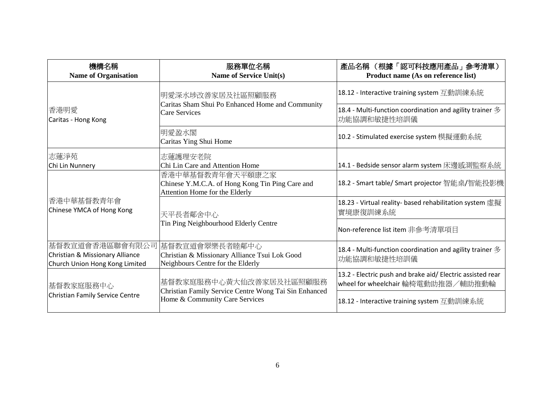| 機構名稱<br><b>Name of Organisation</b>                                                  | 服務單位名稱<br>Name of Service Unit(s)                                                                                  | 產品名稱 (根據「認可科技應用產品」參考清單)<br>Product name (As on reference list)                                   |
|--------------------------------------------------------------------------------------|--------------------------------------------------------------------------------------------------------------------|--------------------------------------------------------------------------------------------------|
|                                                                                      | 明愛深水埗改善家居及社區照顧服務<br>Caritas Sham Shui Po Enhanced Home and Community<br><b>Care Services</b>                       | 18.12 - Interactive training system 互動訓練系統                                                       |
| 香港明愛<br>Caritas - Hong Kong                                                          |                                                                                                                    | 18.4 - Multi-function coordination and agility trainer $\mathscr Y$<br>功能協調和敏捷性培訓儀               |
|                                                                                      | 明愛盈水閣<br>Caritas Ying Shui Home                                                                                    | 10.2 - Stimulated exercise system 模擬運動系統                                                         |
| 志蓮淨苑                                                                                 | 志蓮護理安老院                                                                                                            |                                                                                                  |
| Chi Lin Nunnery                                                                      | Chi Lin Care and Attention Home                                                                                    | 14.1 - Bedside sensor alarm system 床邊感測監察系統                                                      |
|                                                                                      | 香港中華基督教青年會天平頤康之家<br>Chinese Y.M.C.A. of Hong Kong Tin Ping Care and<br>Attention Home for the Elderly              | 18.2 - Smart table/ Smart projector 智能桌/智能投影機                                                    |
| 香港中華基督教青年會<br>Chinese YMCA of Hong Kong                                              | 天平長者鄰舍中心                                                                                                           | 18.23 - Virtual reality- based rehabilitation system 虛擬<br>實境康復訓練系統                              |
|                                                                                      | Tin Ping Neighbourhood Elderly Centre                                                                              | Non-reference list item 非參考清單項目                                                                  |
| 基督教宣道會香港區聯會有限公司<br>Christian & Missionary Alliance<br>Church Union Hong Kong Limited | 基督教宣道會翠樂長者睦鄰中心<br>Christian & Missionary Alliance Tsui Lok Good<br>Neighbours Centre for the Elderly               | 18.4 - Multi-function coordination and agility trainer $\mathcal{\hat{B}}$<br>功能協調和敏捷性培訓儀        |
| 基督教家庭服務中心<br>Christian Family Service Centre                                         | 基督教家庭服務中心黃大仙改善家居及社區照顧服務<br>Christian Family Service Centre Wong Tai Sin Enhanced<br>Home & Community Care Services | 13.2 - Electric push and brake aid/ Electric assisted rear<br>wheel for wheelchair 輪椅電動助推器/輔助推動輪 |
|                                                                                      |                                                                                                                    | 18.12 - Interactive training system 互動訓練系統                                                       |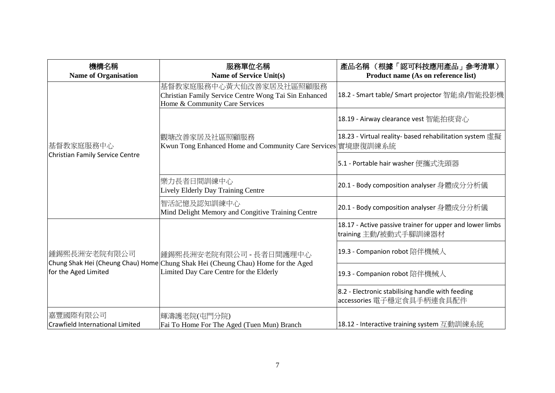| 機構名稱<br><b>Name of Organisation</b>         | 服務單位名稱<br><b>Name of Service Unit(s)</b>                                                                                                               | 產品名稱 (根據「認可科技應用產品」參考清單)<br>Product name (As on reference list)                    |
|---------------------------------------------|--------------------------------------------------------------------------------------------------------------------------------------------------------|-----------------------------------------------------------------------------------|
|                                             | 基督教家庭服務中心黃大仙改善家居及社區照顧服務<br>Christian Family Service Centre Wong Tai Sin Enhanced<br>Home & Community Care Services                                     | 18.2 - Smart table/ Smart projector 智能桌/智能投影機                                     |
|                                             | 觀塘改善家居及社區照顧服務<br>Kwun Tong Enhanced Home and Community Care Services 實境康復訓練系統                                                                          | 18.19 - Airway clearance vest 智能拍痰背心                                              |
| 基督教家庭服務中心                                   |                                                                                                                                                        | 18.23 - Virtual reality- based rehabilitation system 虚擬                           |
| Christian Family Service Centre             |                                                                                                                                                        | 5.1 - Portable hair washer 便攜式洗頭器                                                 |
|                                             | 樂力長者日間訓練中心<br>Lively Elderly Day Training Centre                                                                                                       | 20.1 - Body composition analyser 身體成分分析儀                                          |
|                                             | 智活記憶及認知訓練中心<br>Mind Delight Memory and Congitive Training Centre                                                                                       | 20.1 - Body composition analyser 身體成分分析儀                                          |
| 鍾錫熙長洲安老院有限公司 <br>for the Aged Limited       | 鍾錫熙長洲安老院有限公司 - 長者日間護理中心<br>Chung Shak Hei (Cheung Chau) Home Chung Shak Hei (Cheung Chau) Home for the Aged<br>Limited Day Care Centre for the Elderly | 18.17 - Active passive trainer for upper and lower limbs<br>training 主動/被動式手腳訓練器材 |
|                                             |                                                                                                                                                        | 19.3 - Companion robot 陪伴機械人                                                      |
|                                             |                                                                                                                                                        | 19.3 - Companion robot 陪伴機械人                                                      |
|                                             |                                                                                                                                                        | 8.2 - Electronic stabilising handle with feeding<br>accessories 電子穩定食具手柄連食具配件     |
| 嘉豐國際有限公司<br>Crawfield International Limited | 輝濤護老院(屯門分院)<br>Fai To Home For The Aged (Tuen Mun) Branch                                                                                              | 18.12 - Interactive training system 互動訓練系統                                        |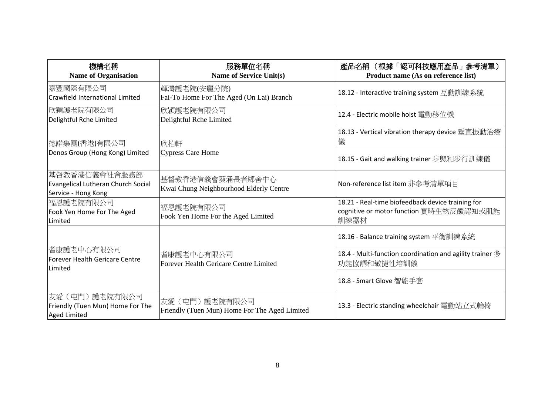| 機構名稱<br><b>Name of Organisation</b>                                        | 服務單位名稱<br>Name of Service Unit(s)                                | 產品名稱 (根據「認可科技應用產品」參考清單)<br>Product name (As on reference list)                                       |
|----------------------------------------------------------------------------|------------------------------------------------------------------|------------------------------------------------------------------------------------------------------|
| 嘉豐國際有限公司<br><b>Crawfield International Limited</b>                         | 輝濤護老院(安麗分院)<br>Fai-To Home For The Aged (On Lai) Branch          | 18.12 - Interactive training system 互動訓練系統                                                           |
| 欣穎護老院有限公司<br>Delightful Rche Limited                                       | 欣穎護老院有限公司<br>Delightful Rche Limited                             | 12.4 - Electric mobile hoist 電動移位機                                                                   |
| 德諾集團(香港)有限公司                                                               | 欣柏軒                                                              | 18.13 - Vertical vibration therapy device 垂直振動治療<br>儀                                                |
| Denos Group (Hong Kong) Limited                                            | Cypress Care Home                                                | 18.15 - Gait and walking trainer 步態和步行訓練儀                                                            |
| 基督教香港信義會社會服務部<br>Evangelical Lutheran Church Social<br>Service - Hong Kong | 基督教香港信義會葵涌長者鄰舍中心<br>Kwai Chung Neighbourhood Elderly Centre      | Non-reference list item 非參考清單項目                                                                      |
| 福恩護老院有限公司<br>Fook Yen Home For The Aged<br>Limited                         | 福恩護老院有限公司<br>Fook Yen Home For the Aged Limited                  | 18.21 - Real-time biofeedback device training for<br>cognitive or motor function 實時生物反饋認知或肌能<br>訓練器材 |
|                                                                            |                                                                  | 18.16 - Balance training system 平衡訓練系統                                                               |
| 耆康護老中心有限公司<br><b>Forever Health Gericare Centre</b><br>Limited             | 耆康護老中心有限公司<br>Forever Health Gericare Centre Limited             | 18.4 - Multi-function coordination and agility trainer $\mathscr Y$<br>功能協調和敏捷性培訓儀                   |
|                                                                            |                                                                  | 18.8 - Smart Glove 智能手套                                                                              |
| 友愛 (屯門) 護老院有限公司<br>Friendly (Tuen Mun) Home For The<br><b>Aged Limited</b> | 友愛 (屯門) 護老院有限公司<br>Friendly (Tuen Mun) Home For The Aged Limited | 13.3 - Electric standing wheelchair 電動站立式輪椅                                                          |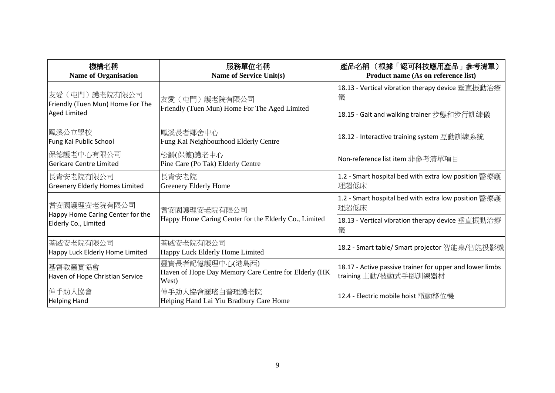| 機構名稱<br><b>Name of Organisation</b>                                      | 服務單位名稱<br><b>Name of Service Unit(s)</b>                                         | 產品名稱 (根據「認可科技應用產品」參考清單)<br>Product name (As on reference list)                    |
|--------------------------------------------------------------------------|----------------------------------------------------------------------------------|-----------------------------------------------------------------------------------|
| 友愛(屯門)護老院有限公司                                                            | 友愛 (屯門) 護老院有限公司<br>Friendly (Tuen Mun) Home For The Aged Limited                 | 18.13 - Vertical vibration therapy device 垂直振動治療<br>儀                             |
| Friendly (Tuen Mun) Home For The<br><b>Aged Limited</b>                  |                                                                                  | 18.15 - Gait and walking trainer 步態和步行訓練儀                                         |
| 鳳溪公立學校<br>Fung Kai Public School                                         | 鳳溪長者鄰舍中心<br>Fung Kai Neighbourhood Elderly Centre                                | 18.12 - Interactive training system 互動訓練系統                                        |
| 保德護老中心有限公司<br>Gericare Centre Limited                                    | 松齡(保德)護老中心<br>Pine Care (Po Tak) Elderly Centre                                  | Non-reference list item 非參考清單項目                                                   |
| 長青安老院有限公司 <br><b>Greenery Elderly Homes Limited</b>                      | 長青安老院<br>Greenery Elderly Home                                                   | 1.2 - Smart hospital bed with extra low position 醫療護<br>理超低床                      |
| 耆安園護理安老院有限公司<br>Happy Home Caring Center for the<br>Elderly Co., Limited | 耆安園護理安老院有限公司<br>Happy Home Caring Center for the Elderly Co., Limited            | 1.2 - Smart hospital bed with extra low position 醫療護<br>理超低床                      |
|                                                                          |                                                                                  | 18.13 - Vertical vibration therapy device 垂直振動治療<br>儀                             |
| 荃威安老院有限公司<br>Happy Luck Elderly Home Limited                             | 荃威安老院有限公司<br>Happy Luck Elderly Home Limited                                     | 18.2 - Smart table/ Smart projector 智能桌/智能投影機                                     |
| 基督教靈實協會<br>Haven of Hope Christian Service                               | 靈實長者記憶護理中心(港島西)<br>Haven of Hope Day Memory Care Centre for Elderly (HK<br>West) | 18.17 - Active passive trainer for upper and lower limbs<br>training 主動/被動式手腳訓練器材 |
| 伸手助人協會<br><b>Helping Hand</b>                                            | 伸手助人協會麗瑤白普理護老院<br>Helping Hand Lai Yiu Bradbury Care Home                        | 12.4 - Electric mobile hoist 電動移位機                                                |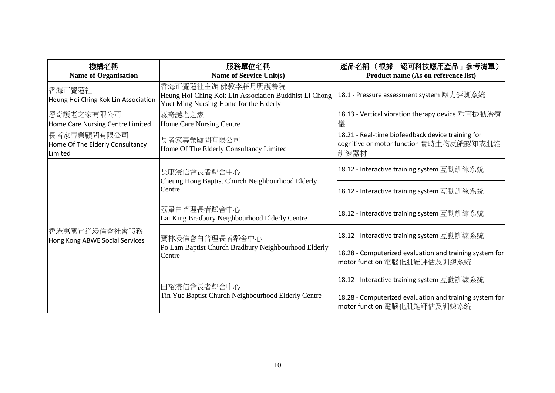| 機構名稱<br><b>Name of Organisation</b>                       | 服務單位名稱<br>Name of Service Unit(s)                                                                                     | 產品名稱 (根據「認可科技應用產品」參考清單)<br>Product name (As on reference list)                                       |
|-----------------------------------------------------------|-----------------------------------------------------------------------------------------------------------------------|------------------------------------------------------------------------------------------------------|
| 香海正覺蓮社 <br>Heung Hoi Ching Kok Lin Association            | 香海正覺蓮社主辦 佛教李莊月明護養院<br>Heung Hoi Ching Kok Lin Association Buddhist Li Chong<br>Yuet Ming Nursing Home for the Elderly | 18.1 - Pressure assessment system 壓力評測系統                                                             |
| 恩奇護老之家有限公司 <br>Home Care Nursing Centre Limited           | 恩奇護老之家<br>Home Care Nursing Centre                                                                                    | 18.13 - Vertical vibration therapy device 垂直振動治療<br>儀                                                |
| 長者家專業顧問有限公司<br>Home Of The Elderly Consultancy<br>Limited | 長者家專業顧問有限公司<br>Home Of The Elderly Consultancy Limited                                                                | 18.21 - Real-time biofeedback device training for<br>cognitive or motor function 實時生物反饋認知或肌能<br>訓練器材 |
| 香港萬國宣道浸信會社會服務<br>Hong Kong ABWE Social Services           | 長康浸信會長者鄰舍中心<br>Cheung Hong Baptist Church Neighbourhood Elderly<br>Centre                                             | 18.12 - Interactive training system 互動訓練系統                                                           |
|                                                           |                                                                                                                       | 18.12 - Interactive training system 互動訓練系統                                                           |
|                                                           | 荔景白普理長者鄰舍中心<br>Lai King Bradbury Neighbourhood Elderly Centre                                                         | 18.12 - Interactive training system 互動訓練系統                                                           |
|                                                           | 寶林浸信會白普理長者鄰舍中心<br>Po Lam Baptist Church Bradbury Neighbourhood Elderly<br>Centre                                      | 18.12 - Interactive training system 互動訓練系統                                                           |
|                                                           |                                                                                                                       | 18.28 - Computerized evaluation and training system for<br>motor function 電腦化肌能評估及訓練系統               |
|                                                           | 田裕浸信會長者鄰舍中心<br>Tin Yue Baptist Church Neighbourhood Elderly Centre                                                    | 18.12 - Interactive training system 互動訓練系統                                                           |
|                                                           |                                                                                                                       | 18.28 - Computerized evaluation and training system for<br>motor function 電腦化肌能評估及訓練系統               |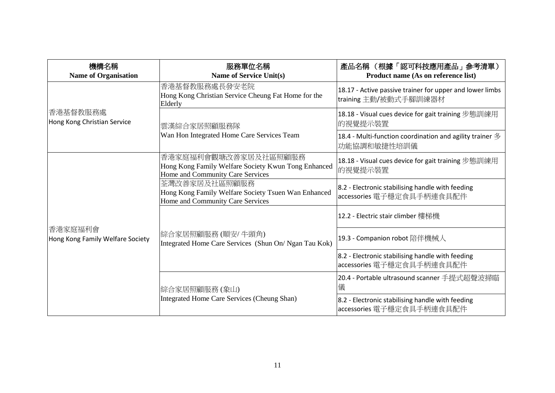| 機構名稱<br><b>Name of Organisation</b>         | 服務單位名稱<br><b>Name of Service Unit(s)</b>                                                                        | 產品名稱 (根據「認可科技應用產品」參考清單)<br>Product name (As on reference list)                     |
|---------------------------------------------|-----------------------------------------------------------------------------------------------------------------|------------------------------------------------------------------------------------|
|                                             | 香港基督教服務處長發安老院<br>Hong Kong Christian Service Cheung Fat Home for the<br>Elderly                                 | 18.17 - Active passive trainer for upper and lower limbs<br>training 主動/被動式手腳訓練器材  |
| 香港基督教服務處<br>Hong Kong Christian Service     | 雲漢綜合家居照顧服務隊<br>Wan Hon Integrated Home Care Services Team                                                       | 18.18 - Visual cues device for gait training 步態訓練用<br>的視覺提示裝置                      |
|                                             |                                                                                                                 | 18.4 - Multi-function coordination and agility trainer $\mathscr Y$<br>功能協調和敏捷性培訓儀 |
| 香港家庭福利會<br>Hong Kong Family Welfare Society | 香港家庭福利會觀塘改善家居及社區照顧服務<br>Hong Kong Family Welfare Society Kwun Tong Enhanced<br>Home and Community Care Services | 18.18 - Visual cues device for gait training 步態訓練用<br> 的視覺提示裝置                     |
|                                             | 荃灣改善家居及社區照顧服務<br>Hong Kong Family Welfare Society Tsuen Wan Enhanced<br>Home and Community Care Services        | 8.2 - Electronic stabilising handle with feeding<br>accessories 電子穩定食具手柄連食具配件      |
|                                             | 綜合家居照顧服務(順安/牛頭角)<br>Integrated Home Care Services (Shun On/ Ngan Tau Kok)                                       | 12.2 - Electric stair climber 樓梯機                                                  |
|                                             |                                                                                                                 | 19.3 - Companion robot 陪伴機械人                                                       |
|                                             |                                                                                                                 | 8.2 - Electronic stabilising handle with feeding<br>accessories 電子穩定食具手柄連食具配件      |
|                                             | 綜合家居照顧服務 (象山)<br>Integrated Home Care Services (Cheung Shan)                                                    | 20.4 - Portable ultrasound scanner 手提式超聲波掃瞄<br>儀                                   |
|                                             |                                                                                                                 | 8.2 - Electronic stabilising handle with feeding<br>accessories 電子穩定食具手柄連食具配件      |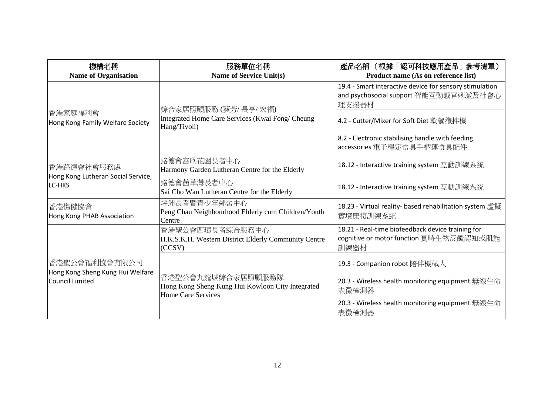| 機構名稱<br><b>Name of Organisation</b>                                  | 服務單位名稱<br>Name of Service Unit(s)                                                           | 產品名稱 (根據「認可科技應用產品」參考清單)<br>Product name (As on reference list)                                            |
|----------------------------------------------------------------------|---------------------------------------------------------------------------------------------|-----------------------------------------------------------------------------------------------------------|
|                                                                      | 綜合家居照顧服務 (葵芳/長亨/宏福)<br>Integrated Home Care Services (Kwai Fong/ Cheung<br>Hang/Tivoli)     | 19.4 - Smart interactive device for sensory stimulation<br>and psychosocial support 智能互動感官刺激及社會心<br>理支援器材 |
| 香港家庭福利會<br>Hong Kong Family Welfare Society                          |                                                                                             | 4.2 - Cutter/Mixer for Soft Diet 軟餐攪拌機                                                                    |
|                                                                      |                                                                                             | 8.2 - Electronic stabilising handle with feeding<br>accessories 電子穩定食具手柄連食具配件                             |
| 香港路德會社會服務處<br>Hong Kong Lutheran Social Service,<br>LC-HKS           | 路德會富欣花園長者中心<br>Harmony Garden Lutheran Centre for the Elderly                               | 18.12 - Interactive training system 互動訓練系統                                                                |
|                                                                      | 路德會茜草灣長者中心<br>Sai Cho Wan Lutheran Centre for the Elderly                                   | 18.12 - Interactive training system 互動訓練系統                                                                |
| 香港傷健協會<br>Hong Kong PHAB Association                                 | 坪洲長者暨青少年鄰舍中心<br>Peng Chau Neighbourhood Elderly cum Children/Youth<br>Centre                | 18.23 - Virtual reality- based rehabilitation system 虛擬<br>實境康復訓練系統                                       |
|                                                                      | 香港聖公會西環長者綜合服務中心<br>H.K.S.K.H. Western District Elderly Community Centre<br>(CCSV)           | 18.21 - Real-time biofeedback device training for<br>cognitive or motor function 實時生物反饋認知或肌能<br>訓練器材      |
| 香港聖公會福利協會有限公司<br>Hong Kong Sheng Kung Hui Welfare<br>Council Limited | 香港聖公會九龍城綜合家居照顧服務隊<br>Hong Kong Sheng Kung Hui Kowloon City Integrated<br>Home Care Services | 19.3 - Companion robot 陪伴機械人                                                                              |
|                                                                      |                                                                                             | 20.3 - Wireless health monitoring equipment 無線生命<br>表徵檢測器                                                 |
|                                                                      |                                                                                             | 20.3 - Wireless health monitoring equipment 無線生命<br>表徵檢測器                                                 |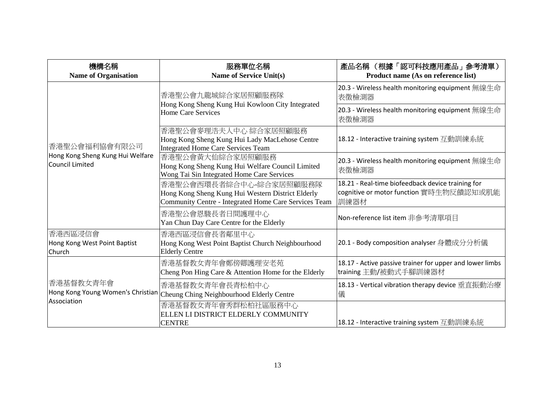| 機構名稱<br><b>Name of Organisation</b>                                         | 服務單位名稱<br><b>Name of Service Unit(s)</b>                                                                                              | 產品名稱 (根據「認可科技應用產品」參考清單)<br>Product name (As on reference list)                                       |
|-----------------------------------------------------------------------------|---------------------------------------------------------------------------------------------------------------------------------------|------------------------------------------------------------------------------------------------------|
| 香港聖公會福利協會有限公司<br>Hong Kong Sheng Kung Hui Welfare<br><b>Council Limited</b> | 香港聖公會九龍城綜合家居照顧服務隊<br>Hong Kong Sheng Kung Hui Kowloon City Integrated<br>Home Care Services                                           | 20.3 - Wireless health monitoring equipment 無線生命<br>表徵檢測器                                            |
|                                                                             |                                                                                                                                       | 20.3 - Wireless health monitoring equipment 無線生命<br>表徵檢測器                                            |
|                                                                             | 香港聖公會麥理浩夫人中心 綜合家居照顧服務<br>Hong Kong Sheng Kung Hui Lady MacLehose Centre<br><b>Integrated Home Care Services Team</b>                  | 18.12 - Interactive training system 互動訓練系統                                                           |
|                                                                             | 香港聖公會黃大仙綜合家居照顧服務<br>Hong Kong Sheng Kung Hui Welfare Council Limited<br>Wong Tai Sin Integrated Home Care Services                    | 20.3 - Wireless health monitoring equipment 無線生命<br>表徵檢測器                                            |
|                                                                             | 香港聖公會西環長者綜合中心-綜合家居照顧服務隊<br>Hong Kong Sheng Kung Hui Western District Elderly<br>Community Centre - Integrated Home Care Services Team | 18.21 - Real-time biofeedback device training for<br>cognitive or motor function 實時生物反饋認知或肌能<br>訓練器材 |
|                                                                             | 香港聖公會恩駿長者日間護理中心<br>Yan Chun Day Care Centre for the Elderly                                                                           | Non-reference list item 非參考清單項目                                                                      |
| 香港西區浸信會<br>Hong Kong West Point Baptist<br>Church                           | 香港西區浸信會長者鄰里中心<br>Hong Kong West Point Baptist Church Neighbourhood<br><b>Elderly Centre</b>                                           | 20.1 - Body composition analyser 身體成分分析儀                                                             |
| 香港基督教女青年會<br>Association                                                    | 香港基督教女青年會鄭傍卿護理安老苑<br>Cheng Pon Hing Care & Attention Home for the Elderly                                                             | 18.17 - Active passive trainer for upper and lower limbs<br>training 主動/被動式手腳訓練器材                    |
|                                                                             | 香港基督教女青年會長青松柏中心<br>$\vert$ Hong Kong Young Women's Christian $\vert_{\rm Cheung}$ Ching Neighbourhood Elderly Centre                  | 18.13 - Vertical vibration therapy device 垂直振動治療<br>儀                                                |
|                                                                             | 香港基督教女青年會秀群松柏社區服務中心<br>ELLEN LI DISTRICT ELDERLY COMMUNITY<br><b>CENTRE</b>                                                           | 18.12 - Interactive training system 互動訓練系統                                                           |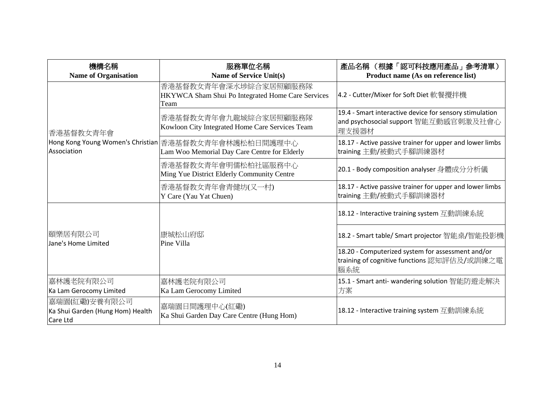| 機構名稱<br><b>Name of Organisation</b>                           | 服務單位名稱<br><b>Name of Service Unit(s)</b>                                                              | 產品名稱 (根據「認可科技應用產品」參考清單)<br>Product name (As on reference list)                                            |
|---------------------------------------------------------------|-------------------------------------------------------------------------------------------------------|-----------------------------------------------------------------------------------------------------------|
| 香港基督教女青年會                                                     | 香港基督教女青年會深水埗綜合家居照顧服務隊<br>HKYWCA Sham Shui Po Integrated Home Care Services<br>Team                    | 4.2 - Cutter/Mixer for Soft Diet 軟餐攪拌機                                                                    |
|                                                               | 香港基督教女青年會九龍城綜合家居照顧服務隊<br>Kowloon City Integrated Home Care Services Team                              | 19.4 - Smart interactive device for sensory stimulation<br>and psychosocial support 智能互動感官刺激及社會心<br>理支援器材 |
| Association                                                   | Hong Kong Young Women's Christian 香港基督教女青年會林護松柏日間護理中心<br>Lam Woo Memorial Day Care Centre for Elderly | 18.17 - Active passive trainer for upper and lower limbs<br>training 主動/被動式手腳訓練器材                         |
|                                                               | 香港基督教女青年會明儒松柏社區服務中心<br>Ming Yue District Elderly Community Centre                                     | 20.1 - Body composition analyser 身體成分分析儀                                                                  |
|                                                               | 香港基督教女青年會青健坊(又一村)<br>Y Care (Yau Yat Chuen)                                                           | 18.17 - Active passive trainer for upper and lower limbs<br>training 主動/被動式手腳訓練器材                         |
|                                                               |                                                                                                       | 18.12 - Interactive training system 互動訓練系統                                                                |
| 頤樂居有限公司<br>Jane's Home Limited                                | 康城松山府邸<br>Pine Villa                                                                                  | 18.2 - Smart table/ Smart projector 智能桌/智能投影機                                                             |
|                                                               |                                                                                                       | 18.20 - Computerized system for assessment and/or<br>training of cognitive functions 認知評估及/或訓練之電<br>腦系統   |
| 嘉林護老院有限公司<br>Ka Lam Gerocomy Limited                          | 嘉林護老院有限公司<br>Ka Lam Gerocomy Limited                                                                  | 15.1 - Smart anti- wandering solution 智能防遊走解決<br>方案                                                       |
| 嘉瑞園(紅磡)安養有限公司<br>Ka Shui Garden (Hung Hom) Health<br>Care Ltd | 嘉瑞園日間護理中心(紅磡)<br>Ka Shui Garden Day Care Centre (Hung Hom)                                            | 18.12 - Interactive training system 互動訓練系統                                                                |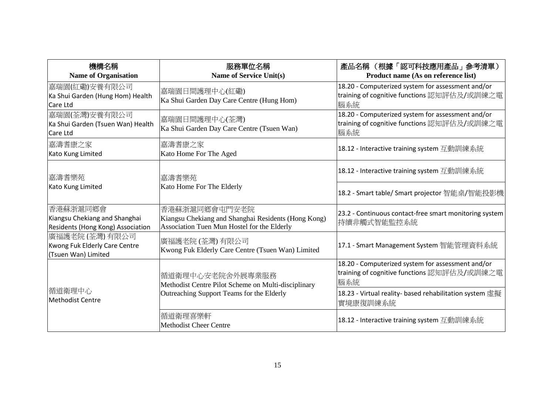| 機構名稱<br><b>Name of Organisation</b>                                            | 服務單位名稱<br><b>Name of Service Unit(s)</b>                                                                             | 產品名稱 (根據「認可科技應用產品」參考清單)<br>Product name (As on reference list)                                          |
|--------------------------------------------------------------------------------|----------------------------------------------------------------------------------------------------------------------|---------------------------------------------------------------------------------------------------------|
| 嘉瑞園(紅磡)安養有限公司<br>Ka Shui Garden (Hung Hom) Health<br>Care Ltd                  | 嘉瑞園日間護理中心(紅磡)<br>Ka Shui Garden Day Care Centre (Hung Hom)                                                           | 18.20 - Computerized system for assessment and/or<br>training of cognitive functions 認知評估及/或訓練之電<br>腦系統 |
| 嘉瑞園(荃灣)安養有限公司<br>Ka Shui Garden (Tsuen Wan) Health<br>Care Ltd                 | 嘉瑞園日間護理中心(荃灣)<br>Ka Shui Garden Day Care Centre (Tsuen Wan)                                                          | 18.20 - Computerized system for assessment and/or<br>training of cognitive functions 認知評估及/或訓練之電<br>腦系統 |
| 嘉濤耆康之家<br>Kato Kung Limited                                                    | 嘉濤耆康之家<br>Kato Home For The Aged                                                                                     | 18.12 - Interactive training system 互動訓練系統                                                              |
| 嘉濤耆樂苑                                                                          | 嘉濤耆樂苑                                                                                                                | 18.12 - Interactive training system 互動訓練系統                                                              |
| Kato Kung Limited                                                              | Kato Home For The Elderly                                                                                            | 18.2 - Smart table/ Smart projector 智能桌/智能投影機                                                           |
| 香港蘇浙滬同鄉會<br>Kiangsu Chekiang and Shanghai<br>Residents (Hong Kong) Association | 香港蘇浙滬同鄉會屯門安老院<br>Kiangsu Chekiang and Shanghai Residents (Hong Kong)<br>Association Tuen Mun Hostel for the Elderly  | 23.2 - Continuous contact-free smart monitoring system<br>持續非觸式智能監控系統                                   |
| 廣福護老院(荃灣)有限公司<br>Kwong Fuk Elderly Care Centre<br>(Tsuen Wan) Limited          | 廣福護老院 (荃灣) 有限公司<br>Kwong Fuk Elderly Care Centre (Tsuen Wan) Limited                                                 | 17.1 - Smart Management System 智能管理資料系統                                                                 |
| 循道衛理中心<br><b>Methodist Centre</b>                                              | 循道衛理中心安老院舍外展專業服務<br>Methodist Centre Pilot Scheme on Multi-disciplinary<br>Outreaching Support Teams for the Elderly | 18.20 - Computerized system for assessment and/or<br>training of cognitive functions 認知評估及/或訓練之電<br>腦系統 |
|                                                                                |                                                                                                                      | 18.23 - Virtual reality- based rehabilitation system 虛擬<br>實境康復訓練系統                                     |
|                                                                                | 循道衛理喜樂軒<br><b>Methodist Cheer Centre</b>                                                                             | 18.12 - Interactive training system 互動訓練系統                                                              |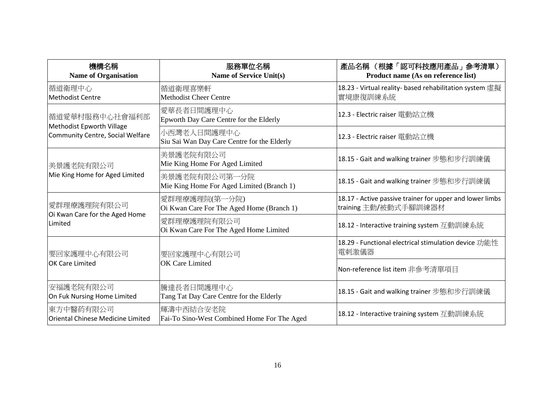| 機構名稱<br><b>Name of Organisation</b>                           | 服務單位名稱<br><b>Name of Service Unit(s)</b>                   | 產品名稱 (根據「認可科技應用產品」參考清單)<br>Product name (As on reference list)                    |
|---------------------------------------------------------------|------------------------------------------------------------|-----------------------------------------------------------------------------------|
| 循道衛理中心<br><b>Methodist Centre</b>                             | 循道衛理喜樂軒<br><b>Methodist Cheer Centre</b>                   | 18.23 - Virtual reality- based rehabilitation system 虛擬<br>實境康復訓練系統               |
| 循道愛華村服務中心社會福利部                                                | 愛華長者日間護理中心<br>Epworth Day Care Centre for the Elderly      | 12.3 - Electric raiser 電動站立機                                                      |
| Methodist Epworth Village<br>Community Centre, Social Welfare | 小西灣老人日間護理中心<br>Siu Sai Wan Day Care Centre for the Elderly | 12.3 - Electric raiser 電動站立機                                                      |
| 美景護老院有限公司<br>Mie King Home for Aged Limited                   | 美景護老院有限公司<br>Mie King Home For Aged Limited                | 18.15 - Gait and walking trainer 步態和步行訓練儀                                         |
|                                                               | 美景護老院有限公司第一分院<br>Mie King Home For Aged Limited (Branch 1) | 18.15 - Gait and walking trainer 步態和步行訓練儀                                         |
| 愛群理療護理院有限公司<br>Oi Kwan Care for the Aged Home<br>Limited      | 愛群理療護理院(第一分院)<br>Oi Kwan Care For The Aged Home (Branch 1) | 18.17 - Active passive trainer for upper and lower limbs<br>training 主動/被動式手腳訓練器材 |
|                                                               | 愛群理療護理院有限公司<br>Oi Kwan Care For The Aged Home Limited      | 18.12 - Interactive training system 互動訓練系統                                        |
| 要回家護理中心有限公司<br>OK Care Limited                                | 要回家護理中心有限公司<br><b>OK</b> Care Limited                      | 18.29 - Functional electrical stimulation device 功能性<br> 電剌激儀器                    |
|                                                               |                                                            | Non-reference list item 非參考清單項目                                                   |
| 安福護老院有限公司<br>On Fuk Nursing Home Limited                      | 騰達長者日間護理中心<br>Tang Tat Day Care Centre for the Elderly     | 18.15 - Gait and walking trainer 步態和步行訓練儀                                         |
| 東方中醫葯有限公司<br>Oriental Chinese Medicine Limited                | 輝濤中西結合安老院 <br>Fai-To Sino-West Combined Home For The Aged  | 18.12 - Interactive training system 互動訓練系統                                        |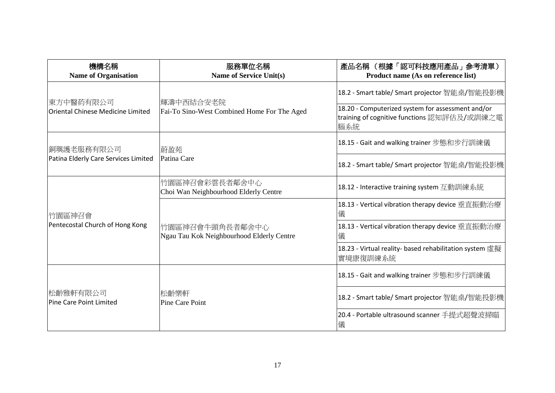| 機構名稱<br><b>Name of Organisation</b>                   | 服務單位名稱<br><b>Name of Service Unit(s)</b>                     | 產品名稱 (根據「認可科技應用產品」參考清單)<br>Product name (As on reference list)                                          |
|-------------------------------------------------------|--------------------------------------------------------------|---------------------------------------------------------------------------------------------------------|
| 東方中醫葯有限公司<br><b>Oriental Chinese Medicine Limited</b> | 輝濤中西結合安老院<br>Fai-To Sino-West Combined Home For The Aged     | 18.2 - Smart table/ Smart projector 智能桌/智能投影機                                                           |
|                                                       |                                                              | 18.20 - Computerized system for assessment and/or<br>training of cognitive functions 認知評估及/或訓練之電<br>腦系統 |
| 銅璵護老服務有限公司<br>Patina Elderly Care Services Limited    | 蔚盈苑<br>Patina Care                                           | 18.15 - Gait and walking trainer 步態和步行訓練儀                                                               |
|                                                       |                                                              | 18.2 - Smart table/ Smart projector 智能桌/智能投影機                                                           |
| 竹園區神召會<br>Pentecostal Church of Hong Kong             | 竹園區神召會彩雲長者鄰舍中心<br>Choi Wan Neighbourhood Elderly Centre      | 18.12 - Interactive training system 互動訓練系統                                                              |
|                                                       | 竹園區神召會牛頭角長者鄰舍中心<br>Ngau Tau Kok Neighbourhood Elderly Centre | 18.13 - Vertical vibration therapy device 垂直振動治療<br>儀                                                   |
|                                                       |                                                              | 18.13 - Vertical vibration therapy device 垂直振動治療<br>儀                                                   |
|                                                       |                                                              | 18.23 - Virtual reality- based rehabilitation system 虛擬<br>實境康復訓練系統                                     |
| 松齡雅軒有限公司 <br><b>Pine Care Point Limited</b>           | 松齡樂軒<br><b>Pine Care Point</b>                               | 18.15 - Gait and walking trainer 步態和步行訓練儀                                                               |
|                                                       |                                                              | 18.2 - Smart table/ Smart projector 智能桌/智能投影機                                                           |
|                                                       |                                                              | 20.4 - Portable ultrasound scanner 手提式超聲波掃瞄<br>儀                                                        |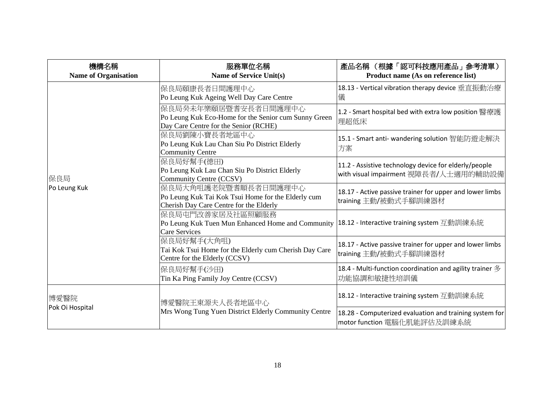| 機構名稱<br><b>Name of Organisation</b> | 服務單位名稱<br><b>Name of Service Unit(s)</b>                                                                                                  | 產品名稱 (根據「認可科技應用產品」參考清單)<br>Product name (As on reference list)                                 |
|-------------------------------------|-------------------------------------------------------------------------------------------------------------------------------------------|------------------------------------------------------------------------------------------------|
| 保良局<br>Po Leung Kuk                 | 保良局頤康長者日間護理中心<br>Po Leung Kuk Ageing Well Day Care Centre                                                                                 | 18.13 - Vertical vibration therapy device 垂直振動治療<br>儀                                          |
|                                     | 保良局癸未年樂頤居暨耆安長者日間護理中心<br>Po Leung Kuk Eco-Home for the Senior cum Sunny Green<br>Day Care Centre for the Senior (RCHE)                     | 1.2 - Smart hospital bed with extra low position 醫療護<br>理超低床                                   |
|                                     | 保良局劉陳小寶長者地區中心<br>Po Leung Kuk Lau Chan Siu Po District Elderly<br><b>Community Centre</b>                                                 | 15.1 - Smart anti- wandering solution 智能防遊走解決<br>方案                                            |
|                                     | 保良局好幫手(德田)<br>Po Leung Kuk Lau Chan Siu Po District Elderly<br>Community Centre (CCSV)                                                    | 11.2 - Assistive technology device for elderly/people<br>with visual impairment 視障長者/人士適用的輔助設備 |
|                                     | 保良局大角咀護老院暨耆順長者日間護理中心<br>Po Leung Kuk Tai Kok Tsui Home for the Elderly cum<br>Cherish Day Care Centre for the Elderly                     | 18.17 - Active passive trainer for upper and lower limbs<br>training 主動/被動式手腳訓練器材              |
|                                     | 保良局屯門改善家居及社區照顧服務<br>Po Leung Kuk Tuen Mun Enhanced Home and Community  18.12 - Interactive training system 互動訓練系統<br><b>Care Services</b> |                                                                                                |
|                                     | 保良局好幫手(大角咀)<br>Tai Kok Tsui Home for the Elderly cum Cherish Day Care<br>Centre for the Elderly (CCSV)                                    | 18.17 - Active passive trainer for upper and lower limbs<br>training 主動/被動式手腳訓練器材              |
|                                     | 保良局好幫手(沙田)<br>Tin Ka Ping Family Joy Centre (CCSV)                                                                                        | 18.4 - Multi-function coordination and agility trainer $\mathcal Z$<br>功能協調和敏捷性培訓儀             |
| 博愛醫院<br>Pok Oi Hospital             | 博愛醫院王東源夫人長者地區中心                                                                                                                           | 18.12 - Interactive training system 互動訓練系統                                                     |
|                                     | Mrs Wong Tung Yuen District Elderly Community Centre                                                                                      | 18.28 - Computerized evaluation and training system for<br>motor function 電腦化肌能評估及訓練系統         |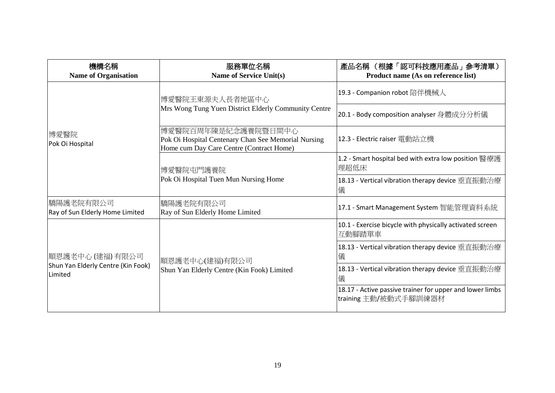| 機構名稱<br><b>Name of Organisation</b>                                      | 服務單位名稱<br>Name of Service Unit(s)                                                                                      | 產品名稱 (根據「認可科技應用產品」參考清單)<br>Product name (As on reference list)                    |
|--------------------------------------------------------------------------|------------------------------------------------------------------------------------------------------------------------|-----------------------------------------------------------------------------------|
| 博愛醫院<br>Pok Oi Hospital                                                  | 博愛醫院王東源夫人長者地區中心<br>Mrs Wong Tung Yuen District Elderly Community Centre                                                | 19.3 - Companion robot 陪伴機械人                                                      |
|                                                                          |                                                                                                                        | 20.1 - Body composition analyser 身體成分分析儀                                          |
|                                                                          | 博愛醫院百周年陳是紀念護養院暨日間中心<br>Pok Oi Hospital Centenary Chan See Memorial Nursing<br>Home cum Day Care Centre (Contract Home) | 12.3 - Electric raiser 電動站立機                                                      |
|                                                                          | 博愛醫院屯門護養院<br>Pok Oi Hospital Tuen Mun Nursing Home                                                                     | 1.2 - Smart hospital bed with extra low position 醫療護<br>理超低床                      |
|                                                                          |                                                                                                                        | 18.13 - Vertical vibration therapy device 垂直振動治療<br>儀                             |
| 驕陽護老院有限公司<br>Ray of Sun Elderly Home Limited                             | 驕陽護老院有限公司<br>Ray of Sun Elderly Home Limited                                                                           | 17.1 - Smart Management System 智能管理資料系統                                           |
| 順恩護老中心 (建福) 有限公司<br>Shun Yan Elderly Centre (Kin Fook)<br><b>Limited</b> | 順恩護老中心(建福)有限公司<br>Shun Yan Elderly Centre (Kin Fook) Limited                                                           | 10.1 - Exercise bicycle with physically activated screen<br>互動腳踏單車                |
|                                                                          |                                                                                                                        | 18.13 - Vertical vibration therapy device 垂直振動治療<br>儀                             |
|                                                                          |                                                                                                                        | 18.13 - Vertical vibration therapy device 垂直振動治療<br>儀                             |
|                                                                          |                                                                                                                        | 18.17 - Active passive trainer for upper and lower limbs<br>training 主動/被動式手腳訓練器材 |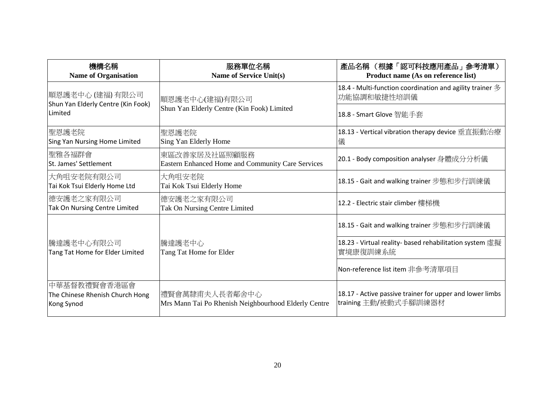| 機構名稱<br><b>Name of Organisation</b>                           | 服務單位名稱<br>Name of Service Unit(s)                                      | 產品名稱 (根據「認可科技應用產品」參考清單)<br>Product name (As on reference list)                            |
|---------------------------------------------------------------|------------------------------------------------------------------------|-------------------------------------------------------------------------------------------|
| 順恩護老中心 (建福) 有限公司                                              | 順恩護老中心(建福)有限公司<br>Shun Yan Elderly Centre (Kin Fook) Limited           | 18.4 - Multi-function coordination and agility trainer $\mathcal{\hat{B}}$<br>功能協調和敏捷性培訓儀 |
| Shun Yan Elderly Centre (Kin Fook)<br>Limited                 |                                                                        | 18.8 - Smart Glove 智能手套                                                                   |
| 聖恩護老院<br>Sing Yan Nursing Home Limited                        | 聖恩護老院<br>Sing Yan Elderly Home                                         | 18.13 - Vertical vibration therapy device 垂直振動治療<br>儀                                     |
| 聖雅各福群會<br>St. James' Settlement                               | 東區改善家居及社區照顧服務<br>Eastern Enhanced Home and Community Care Services     | 20.1 - Body composition analyser 身體成分分析儀                                                  |
| 大角咀安老院有限公司<br>Tai Kok Tsui Elderly Home Ltd                   | 大角咀安老院<br>Tai Kok Tsui Elderly Home                                    | 18.15 - Gait and walking trainer 步態和步行訓練儀                                                 |
| 德安護老之家有限公司<br>Tak On Nursing Centre Limited                   | 德安護老之家有限公司<br>Tak On Nursing Centre Limited                            | 12.2 - Electric stair climber 樓梯機                                                         |
|                                                               |                                                                        | 18.15 - Gait and walking trainer 步態和步行訓練儀                                                 |
| 騰達護老中心有限公司<br>Tang Tat Home for Elder Limited                 | 騰達護老中心<br>Tang Tat Home for Elder                                      | 18.23 - Virtual reality- based rehabilitation system 虛擬<br>實境康復訓練系統                       |
|                                                               |                                                                        | Non-reference list item 非參考清單項目                                                           |
| 中華基督教禮賢會香港區會<br>The Chinese Rhenish Church Hong<br>Kong Synod | 禮賢會萬隸甫夫人長者鄰舍中心<br>Mrs Mann Tai Po Rhenish Neighbourhood Elderly Centre | 18.17 - Active passive trainer for upper and lower limbs<br>training 主動/被動式手腳訓練器材         |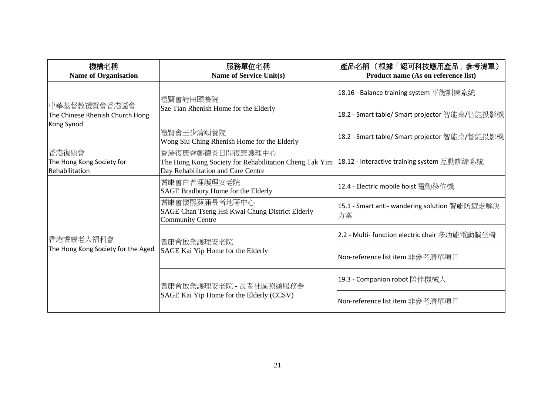| 機構名稱<br><b>Name of Organisation</b>                           | 服務單位名稱<br>Name of Service Unit(s)                                                                                | 產品名稱 (根據「認可科技應用產品」參考清單)<br>Product name (As on reference list) |
|---------------------------------------------------------------|------------------------------------------------------------------------------------------------------------------|----------------------------------------------------------------|
| 中華基督教禮賢會香港區會<br>The Chinese Rhenish Church Hong<br>Kong Synod | 禮賢會詩田頤養院<br>Sze Tian Rhenish Home for the Elderly                                                                | 18.16 - Balance training system 平衡訓練系統                         |
|                                                               |                                                                                                                  | 18.2 - Smart table/ Smart projector 智能桌/智能投影機                  |
|                                                               | 禮賢會王少清頤養院<br>Wong Siu Ching Rhenish Home for the Elderly                                                         | 18.2 - Smart table/ Smart projector 智能桌/智能投影機                  |
| 香港復康會<br>The Hong Kong Society for<br>Rehabilitation          | 香港復康會鄭德炎日間復康護理中心<br>The Hong Kong Society for Rehabilitation Cheng Tak Yim<br>Day Rehabilitation and Care Centre | 18.12 - Interactive training system 互動訓練系統                     |
| 香港耆康老人福利會<br>The Hong Kong Society for the Aged               | 耆康會白普理護理安老院<br>SAGE Bradbury Home for the Elderly                                                                | 12.4 - Electric mobile hoist 電動移位機                             |
|                                                               | 耆康會懷熙葵涌長者地區中心<br>SAGE Chan Tseng Hsi Kwai Chung District Elderly<br><b>Community Centre</b>                      | 15.1 - Smart anti- wandering solution 智能防遊走解決<br>方案            |
|                                                               | 耆康會啟業護理安老院<br>SAGE Kai Yip Home for the Elderly                                                                  | 2.2 - Multi- function electric chair 多功能電動躺坐椅                  |
|                                                               |                                                                                                                  | Non-reference list item 非參考清單項目                                |
|                                                               | 耆康會啟業護理安老院 - 長者社區照顧服務券<br>SAGE Kai Yip Home for the Elderly (CCSV)                                               | 19.3 - Companion robot 陪伴機械人                                   |
|                                                               |                                                                                                                  | Non-reference list item 非參考清單項目                                |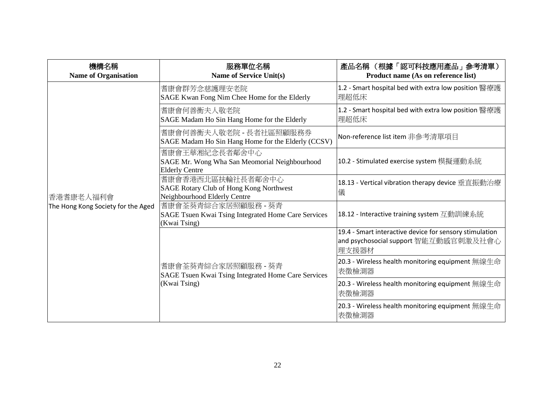| 機構名稱<br><b>Name of Organisation</b>             | 服務單位名稱<br>Name of Service Unit(s)                                                                   | 產品名稱 (根據「認可科技應用產品」參考清單)<br>Product name (As on reference list)                                             |
|-------------------------------------------------|-----------------------------------------------------------------------------------------------------|------------------------------------------------------------------------------------------------------------|
|                                                 | 耆康會群芳念慈護理安老院<br>SAGE Kwan Fong Nim Chee Home for the Elderly                                        | 1.2 - Smart hospital bed with extra low position 醫療護<br>理超低床                                               |
|                                                 | 耆康會何善衡夫人敬老院<br>SAGE Madam Ho Sin Hang Home for the Elderly                                          | 1.2 - Smart hospital bed with extra low position 醫療護<br>理超低床                                               |
|                                                 | 耆康會何善衡夫人敬老院 - 長者社區照顧服務券<br>SAGE Madam Ho Sin Hang Home for the Elderly (CCSV)                       | Non-reference list item 非參考清單項目                                                                            |
| 香港耆康老人福利會<br>The Hong Kong Society for the Aged | 耆康會王華湘紀念長者鄰舍中心<br>SAGE Mr. Wong Wha San Meomorial Neighbourhood<br><b>Elderly Centre</b>            | 10.2 - Stimulated exercise system 模擬運動系統                                                                   |
|                                                 | 耆康會香港西北區扶輪社長者鄰舍中心<br><b>SAGE Rotary Club of Hong Kong Northwest</b><br>Neighbourhood Elderly Centre | 18.13 - Vertical vibration therapy device 垂直振動治療<br>儀                                                      |
|                                                 | 耆康會荃葵青綜合家居照顧服務 - 葵青<br>SAGE Tsuen Kwai Tsing Integrated Home Care Services<br>(Kwai Tsing)          | 18.12 - Interactive training system 互動訓練系統                                                                 |
|                                                 |                                                                                                     | 19.4 - Smart interactive device for sensory stimulation<br>and psychosocial support 智能互動感官刺激及社會心<br> 理支援器材 |
|                                                 | 耆康會荃葵青綜合家居照顧服務 - 葵青<br>SAGE Tsuen Kwai Tsing Integrated Home Care Services<br>(Kwai Tsing)          | 20.3 - Wireless health monitoring equipment 無線生命<br>表徵檢測器                                                  |
|                                                 |                                                                                                     | 20.3 - Wireless health monitoring equipment 無線生命<br>表徵檢測器                                                  |
|                                                 |                                                                                                     | 20.3 - Wireless health monitoring equipment 無線生命<br>表徵檢測器                                                  |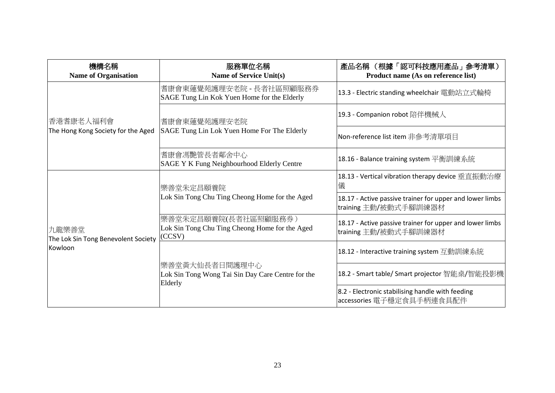| 機構名稱<br><b>Name of Organisation</b>                     | 服務單位名稱<br>Name of Service Unit(s)                                                | 產品名稱 (根據「認可科技應用產品」參考清單)<br>Product name (As on reference list)                    |
|---------------------------------------------------------|----------------------------------------------------------------------------------|-----------------------------------------------------------------------------------|
| 香港耆康老人福利會                                               | 耆康會東蓮覺苑護理安老院 - 長者社區照顧服務券<br>SAGE Tung Lin Kok Yuen Home for the Elderly          | 13.3 - Electric standing wheelchair 電動站立式輪椅                                       |
|                                                         | 耆康會東蓮覺苑護理安老院<br>SAGE Tung Lin Lok Yuen Home For The Elderly                      | 19.3 - Companion robot 陪伴機械人                                                      |
| The Hong Kong Society for the Aged                      |                                                                                  | Non-reference list item 非參考清單項目                                                   |
|                                                         | 耆康會馮艷管長者鄰舍中心<br>SAGE Y K Fung Neighbourhood Elderly Centre                       | 18.16 - Balance training system 平衡訓練系統                                            |
| 九龍樂善堂<br>The Lok Sin Tong Benevolent Society<br>Kowloon | 樂善堂朱定昌頤養院<br>Lok Sin Tong Chu Ting Cheong Home for the Aged                      | 18.13 - Vertical vibration therapy device 垂直振動治療<br>儀                             |
|                                                         |                                                                                  | 18.17 - Active passive trainer for upper and lower limbs<br>training 主動/被動式手腳訓練器材 |
|                                                         | 樂善堂朱定昌頤養院(長者社區照顧服務券)<br>Lok Sin Tong Chu Ting Cheong Home for the Aged<br>(CCSV) | 18.17 - Active passive trainer for upper and lower limbs<br>training 主動/被動式手腳訓練器材 |
|                                                         | 樂善堂黃大仙長者日間護理中心<br>Lok Sin Tong Wong Tai Sin Day Care Centre for the<br>Elderly   | 18.12 - Interactive training system 互動訓練系統                                        |
|                                                         |                                                                                  | 18.2 - Smart table/ Smart projector 智能桌/智能投影機                                     |
|                                                         |                                                                                  | 8.2 - Electronic stabilising handle with feeding<br>accessories 電子穩定食具手柄連食具配件     |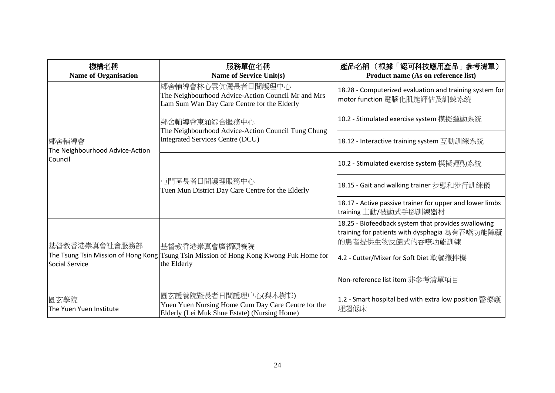| 機構名稱<br><b>Name of Organisation</b>                 | 服務單位名稱<br><b>Name of Service Unit(s)</b>                                                                                   | 產品名稱 (根據「認可科技應用產品」參考清單)<br>Product name (As on reference list)                                                            |
|-----------------------------------------------------|----------------------------------------------------------------------------------------------------------------------------|---------------------------------------------------------------------------------------------------------------------------|
|                                                     | 鄰舍輔導會林心雲伉儷長者日間護理中心<br>The Neighbourhood Advice-Action Council Mr and Mrs<br>Lam Sum Wan Day Care Centre for the Elderly    | 18.28 - Computerized evaluation and training system for<br>motor function 電腦化肌能評估及訓練系統                                    |
|                                                     | 鄰舍輔導會東涌綜合服務中心<br>The Neighbourhood Advice-Action Council Tung Chung<br><b>Integrated Services Centre (DCU)</b>             | 10.2 - Stimulated exercise system 模擬運動系統                                                                                  |
| 鄰舍輔導會<br>The Neighbourhood Advice-Action<br>Council |                                                                                                                            | 18.12 - Interactive training system 互動訓練系統                                                                                |
|                                                     |                                                                                                                            | 10.2 - Stimulated exercise system 模擬運動系統                                                                                  |
|                                                     | 屯門區長者日間護理服務中心<br>Tuen Mun District Day Care Centre for the Elderly                                                         | 18.15 - Gait and walking trainer 步態和步行訓練儀                                                                                 |
|                                                     |                                                                                                                            | 18.17 - Active passive trainer for upper and lower limbs<br>training 主動/被動式手腳訓練器材                                         |
| 基督教香港崇真會社會服務部                                       | 基督教香港崇真會廣福頤養院 <br>The Tsung Tsin Mission of Hong Kong Tsung Tsin Mission of Hong Kong Kwong Fuk Home for<br>the Elderly    | 18.25 - Biofeedback system that provides swallowing<br>training for patients with dysphagia 為有吞嚥功能障礙<br>的患者提供生物反饋式的吞嚥功能訓練 |
| Social Service                                      |                                                                                                                            | 4.2 - Cutter/Mixer for Soft Diet 軟餐攪拌機                                                                                    |
|                                                     |                                                                                                                            | Non-reference list item 非參考清單項目                                                                                           |
| 圓玄學院<br>The Yuen Yuen Institute                     | 圓玄護養院暨長者日間護理中心(梨木樹邨)<br>Yuen Yuen Nursing Home Cum Day Care Centre for the<br>Elderly (Lei Muk Shue Estate) (Nursing Home) | 1.2 - Smart hospital bed with extra low position 醫療護<br>理超低床                                                              |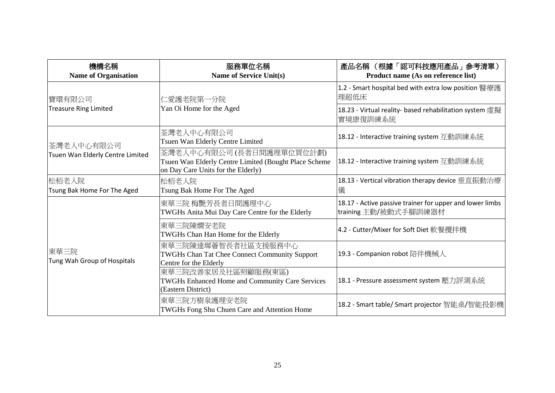| 機構名稱<br><b>Name of Organisation</b>            | 服務單位名稱<br><b>Name of Service Unit(s)</b>                                                                                 | 產品名稱 (根據「認可科技應用產品」參考清單)<br>Product name (As on reference list)                    |
|------------------------------------------------|--------------------------------------------------------------------------------------------------------------------------|-----------------------------------------------------------------------------------|
| 寶環有限公司                                         | 仁愛護老院第一分院                                                                                                                | 1.2 - Smart hospital bed with extra low position 醫療護<br>理超低床                      |
| <b>Treasure Ring Limited</b>                   | Yan Oi Home for the Aged                                                                                                 | 18.23 - Virtual reality- based rehabilitation system 虛擬<br>實境康復訓練系統               |
| 荃灣老人中心有限公司<br>Tsuen Wan Elderly Centre Limited | 荃灣老人中心有限公司<br>Tsuen Wan Elderly Centre Limited                                                                           | 18.12 - Interactive training system 互動訓練系統                                        |
|                                                | 荃灣老人中心有限公司 (長者日間護理單位買位計劃)<br>Tsuen Wan Elderly Centre Limited (Bought Place Scheme<br>on Day Care Units for the Elderly) | 18.12 - Interactive training system 互動訓練系統                                        |
| 松栢老人院<br>Tsung Bak Home For The Aged           | 松栢老人院<br>Tsung Bak Home For The Aged                                                                                     | 18.13 - Vertical vibration therapy device 垂直振動治療<br>儀                             |
| 東華三院<br>Tung Wah Group of Hospitals            | 東華三院 梅艷芳長者日間護理中心<br>TWGHs Anita Mui Day Care Centre for the Elderly                                                      | 18.17 - Active passive trainer for upper and lower limbs<br>training 主動/被動式手腳訓練器材 |
|                                                | 東華三院陳嫺安老院<br>TWGHs Chan Han Home for the Elderly                                                                         | 4.2 - Cutter/Mixer for Soft Diet 軟餐攪拌機                                            |
|                                                | 東華三院陳達墀薈智長者社區支援服務中心<br><b>TWGHs Chan Tat Chee Connect Community Support</b><br>Centre for the Elderly                    | 19.3 - Companion robot 陪伴機械人                                                      |
|                                                | 東華三院改善家居及社區照顧服務(東區)<br>TWGHs Enhanced Home and Community Care Services<br>(Eastern District)                             | 18.1 - Pressure assessment system 壓力評測系統                                          |
|                                                | 東華三院方樹泉護理安老院<br>TWGHs Fong Shu Chuen Care and Attention Home                                                             | 18.2 - Smart table/ Smart projector 智能桌/智能投影機                                     |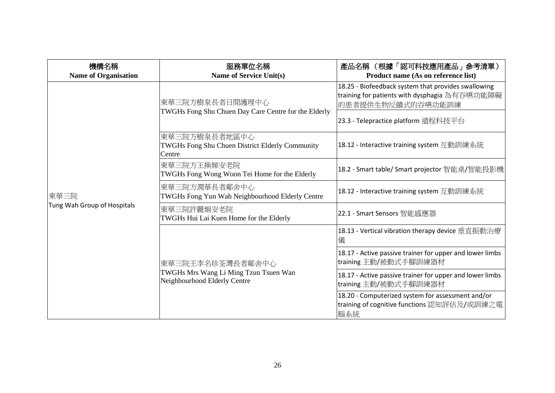| 機構名稱<br><b>Name of Organisation</b> | 服務單位名稱<br>Name of Service Unit(s)                                                         | 產品名稱 (根據「認可科技應用產品」參考清單)<br>Product name (As on reference list)                                                                                                   |
|-------------------------------------|-------------------------------------------------------------------------------------------|------------------------------------------------------------------------------------------------------------------------------------------------------------------|
| 東華三院<br>Tung Wah Group of Hospitals | 東華三院方樹泉長者日間護理中心<br>TWGHs Fong Shu Chuen Day Care Centre for the Elderly                   | 18.25 - Biofeedback system that provides swallowing<br>training for patients with dysphagia 為有吞嚥功能障礙<br>的患者提供生物反饋式的吞嚥功能訓練<br>23.3 - Telepractice platform 遠程科技平台 |
|                                     | 東華三院方樹泉長者地區中心<br>TWGHs Fong Shu Chuen District Elderly Community<br>Centre                | 18.12 - Interactive training system 互動訓練系統                                                                                                                       |
|                                     | 東華三院方王換娣安老院<br>TWGHs Fong Wong Woon Tei Home for the Elderly                              | 18.2 - Smart table/ Smart projector 智能桌/智能投影機                                                                                                                    |
|                                     | 東華三院方潤華長者鄰舍中心<br>TWGHs Fong Yun Wah Neighbourhood Elderly Centre                          | 18.12 - Interactive training system 互動訓練系統                                                                                                                       |
|                                     | 東華三院許麗娟安老院<br>TWGHs Hui Lai Kuen Home for the Elderly                                     | 22.1 - Smart Sensors 智能感應器                                                                                                                                       |
|                                     | 東華三院王李名珍荃灣長者鄰舍中心<br>TWGHs Mrs Wang Li Ming Tzun Tsuen Wan<br>Neighbourhood Elderly Centre | 18.13 - Vertical vibration therapy device 垂直振動治療<br>儀                                                                                                            |
|                                     |                                                                                           | 18.17 - Active passive trainer for upper and lower limbs<br>training 主動/被動式手腳訓練器材                                                                                |
|                                     |                                                                                           | 18.17 - Active passive trainer for upper and lower limbs<br>training 主動/被動式手腳訓練器材                                                                                |
|                                     |                                                                                           | 18.20 - Computerized system for assessment and/or<br>training of cognitive functions 認知評估及/或訓練之電<br>腦系統                                                          |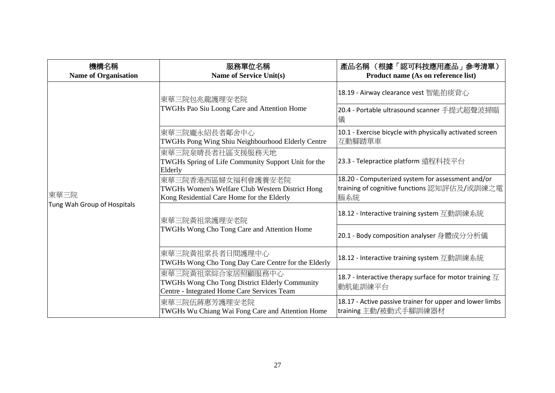| 機構名稱<br><b>Name of Organisation</b> | 服務單位名稱<br><b>Name of Service Unit(s)</b>                                                                             | 產品名稱 (根據「認可科技應用產品」參考清單)<br>Product name (As on reference list)                                          |
|-------------------------------------|----------------------------------------------------------------------------------------------------------------------|---------------------------------------------------------------------------------------------------------|
|                                     | 東華三院包兆龍護理安老院<br>TWGHs Pao Siu Loong Care and Attention Home                                                          | 18.19 - Airway clearance vest 智能拍痰背心                                                                    |
|                                     |                                                                                                                      | 20.4 - Portable ultrasound scanner 手提式超聲波掃瞄<br>儀                                                        |
|                                     | 東華三院龐永紹長者鄰舍中心<br>TWGHs Pong Wing Shiu Neighbourhood Elderly Centre                                                   | 10.1 - Exercise bicycle with physically activated screen<br>互動腳踏單車                                      |
| 東華三院<br>Tung Wah Group of Hospitals | 東華三院泉晴長者社區支援服務天地<br>TWGHs Spring of Life Community Support Unit for the<br>Elderly                                   | 23.3 - Telepractice platform 遠程科技平台                                                                     |
|                                     | 東華三院香港西區婦女福利會護養安老院<br>TWGHs Women's Welfare Club Western District Hong<br>Kong Residential Care Home for the Elderly | 18.20 - Computerized system for assessment and/or<br>training of cognitive functions 認知評估及/或訓練之電<br>腦系統 |
|                                     | 東華三院黃祖棠護理安老院<br>TWGHs Wong Cho Tong Care and Attention Home                                                          | 18.12 - Interactive training system 互動訓練系統                                                              |
|                                     |                                                                                                                      | 20.1 - Body composition analyser 身體成分分析儀                                                                |
|                                     | 東華三院黃祖棠長者日間護理中心<br>TWGHs Wong Cho Tong Day Care Centre for the Elderly                                               | 18.12 - Interactive training system 互動訓練系統                                                              |
|                                     | 東華三院黃祖棠綜合家居照顧服務中心<br>TWGHs Wong Cho Tong District Elderly Community<br>Centre - Integrated Home Care Services Team   | 18.7 - Interactive therapy surface for motor training $\overline{\mathcal{I}}$<br>動肌能訓練平台               |
|                                     | 東華三院伍蔣惠芳護理安老院<br>TWGHs Wu Chiang Wai Fong Care and Attention Home                                                    | 18.17 - Active passive trainer for upper and lower limbs<br>training 主動/被動式手腳訓練器材                       |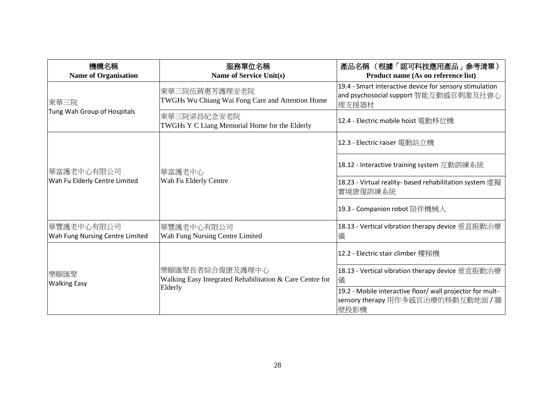| 機構名稱<br><b>Name of Organisation</b>            | 服務單位名稱<br>Name of Service Unit(s)                                                      | 產品名稱 (根據「認可科技應用產品」參考清單)<br>Product name (As on reference list)                                             |
|------------------------------------------------|----------------------------------------------------------------------------------------|------------------------------------------------------------------------------------------------------------|
| 東華三院                                           | 東華三院伍蔣惠芳護理安老院<br>TWGHs Wu Chiang Wai Fong Care and Attention Home                      | 19.4 - Smart interactive device for sensory stimulation<br>and psychosocial support 智能互動感官刺激及社會心<br> 理支援器材 |
| Tung Wah Group of Hospitals                    | 東華三院梁昌紀念安老院<br>TWGHs Y C Liang Memorial Home for the Elderly                           | 12.4 - Electric mobile hoist 電動移位機                                                                         |
|                                                | 華富護老中心<br>Wah Fu Elderly Centre                                                        | 12.3 - Electric raiser 電動站立機                                                                               |
| 華富護老中心有限公司 <br>Wah Fu Elderly Centre Limited   |                                                                                        | 18.12 - Interactive training system 互動訓練系統                                                                 |
|                                                |                                                                                        | 18.23 - Virtual reality- based rehabilitation system 虛擬<br>實境康復訓練系統                                        |
|                                                |                                                                                        | 19.3 - Companion robot 陪伴機械人                                                                               |
| 華豐護老中心有限公司 <br>Wah Fung Nursing Centre Limited | 華豐護老中心有限公司 <br>Wah Fung Nursing Centre Limited                                         | 18.13 - Vertical vibration therapy device 垂直振動治療<br>儀                                                      |
| 樂頤匯聚<br><b>Walking Easy</b>                    | 樂頤匯聚長者綜合復康及護理中心<br>Walking Easy Integrated Rehabilitation & Care Centre for<br>Elderly | 12.2 - Electric stair climber 樓梯機                                                                          |
|                                                |                                                                                        | 18.13 - Vertical vibration therapy device 垂直振動治療<br>儀                                                      |
|                                                |                                                                                        | 19.2 - Mobile interactive floor/ wall projector for mult-<br>sensory therapy 用作多感官治療的移動互動地面 / 牆<br>壁投影機    |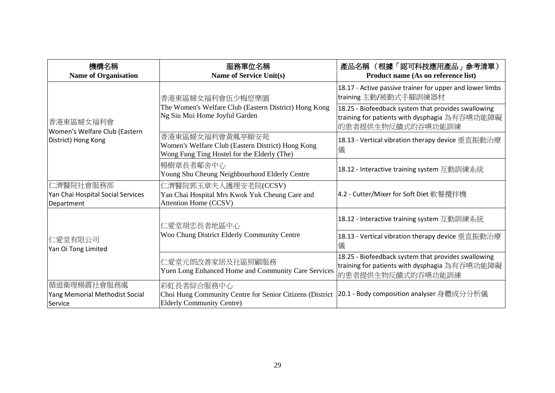| 機構名稱<br><b>Name of Organisation</b>                               | 服務單位名稱<br><b>Name of Service Unit(s)</b>                                                                            | 產品名稱 (根據「認可科技應用產品」參考清單)<br>Product name (As on reference list)                                                            |
|-------------------------------------------------------------------|---------------------------------------------------------------------------------------------------------------------|---------------------------------------------------------------------------------------------------------------------------|
| 香港東區婦女福利會<br>Women's Welfare Club (Eastern<br>District) Hong Kong | 香港東區婦女福利會伍少梅悠樂園<br>The Women's Welfare Club (Eastern District) Hong Kong<br>Ng Siu Mui Home Joyful Garden           | 18.17 - Active passive trainer for upper and lower limbs<br>training 主動/被動式手腳訓練器材                                         |
|                                                                   |                                                                                                                     | 18.25 - Biofeedback system that provides swallowing<br>training for patients with dysphagia 為有吞嚥功能障礙<br>的患者提供生物反饋式的吞嚥功能訓練 |
|                                                                   | 香港東區婦女福利會黃鳳亭頤安苑<br>Women's Welfare Club (Eastern District) Hong Kong<br>Wong Fung Ting Hostel for the Elderly (The) | 18.13 - Vertical vibration therapy device 垂直振動治療<br>儀                                                                     |
|                                                                   | 楊樹章長者鄰舍中心<br>Young Shu Cheung Neighbourhood Elderly Centre                                                          | 18.12 - Interactive training system 互動訓練系統                                                                                |
| 仁濟醫院社會服務部<br>Yan Chai Hospital Social Services<br>Department      | 仁濟醫院郭玉章夫人護理安老院(CCSV)<br>Yan Chai Hospital Mrs Kwok Yuk Cheung Care and<br>Attention Home (CCSV)                     | 4.2 - Cutter/Mixer for Soft Diet 軟餐攪拌機                                                                                    |
| 仁愛堂有限公司<br>Yan Oi Tong Limited                                    | 仁愛堂胡忠長者地區中心<br>Woo Chung District Elderly Community Centre                                                          | 18.12 - Interactive training system 互動訓練系統                                                                                |
|                                                                   |                                                                                                                     | 18.13 - Vertical vibration therapy device 垂直振動治療<br>儀                                                                     |
|                                                                   | 仁愛堂元朗改善家居及社區照顧服務<br>Yuen Long Enhanced Home and Community Care Services                                             | 18.25 - Biofeedback system that provides swallowing<br>training for patients with dysphagia 為有吞嚥功能障礙<br>的患者提供生物反饋式的吞嚥功能訓練 |
| 循道衛理楊震社會服務處<br>Yang Memorial Methodist Social<br>Service          | 彩虹長者綜合服務中心<br>Choi Hung Community Centre for Senior Citizens (District<br><b>Elderly Community Centre)</b>          | 20.1 - Body composition analyser 身體成分分析儀                                                                                  |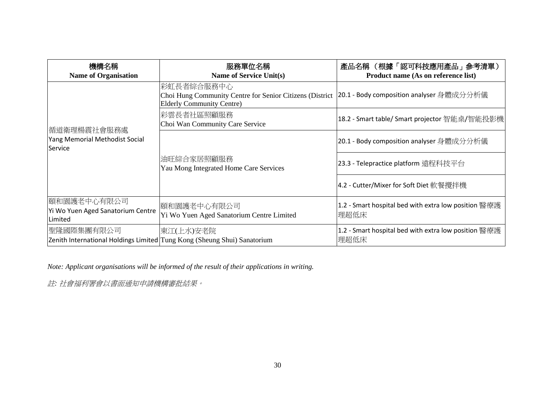| 機構名稱<br><b>Name of Organisation</b>                         | 服務單位名稱<br>Name of Service Unit(s)                                                                          | 產品名稱 (根據「認可科技應用產品」參考清單)<br>Product name (As on reference list) |
|-------------------------------------------------------------|------------------------------------------------------------------------------------------------------------|----------------------------------------------------------------|
|                                                             | 彩虹長者綜合服務中心<br>Choi Hung Community Centre for Senior Citizens (District<br><b>Elderly Community Centre)</b> | 20.1 - Body composition analyser 身體成分分析儀                       |
| 循道衛理楊震社會服務處                                                 | 彩雲長者社區照顧服務<br>Choi Wan Community Care Service                                                              | 18.2 - Smart table/ Smart projector 智能桌/智能投影機                  |
| Yang Memorial Methodist Social<br>Service                   | 油旺綜合家居照顧服務<br>Yau Mong Integrated Home Care Services                                                       | 20.1 - Body composition analyser 身體成分分析儀                       |
|                                                             |                                                                                                            | 23.3 - Telepractice platform 遠程科技平台                            |
|                                                             |                                                                                                            | 4.2 - Cutter/Mixer for Soft Diet 軟餐攪拌機                         |
| 頤和園護老中心有限公司<br>Yi Wo Yuen Aged Sanatorium Centre<br>Limited | 頤和園護老中心有限公司<br>Yi Wo Yuen Aged Sanatorium Centre Limited                                                   | 1.2 - Smart hospital bed with extra low position 醫療護<br> 理超低床  |
| 聖隆國際集團有限公司                                                  | 東江(上水)安老院<br>Zenith International Holdings Limited Tung Kong (Sheung Shui) Sanatorium                      | 1.2 - Smart hospital bed with extra low position 醫療護<br>理超低床   |

*Note: Applicant organisations will be informed of the result of their applications in writing.*

註*:* 社會福利署會以書面通知申請機構審批結果。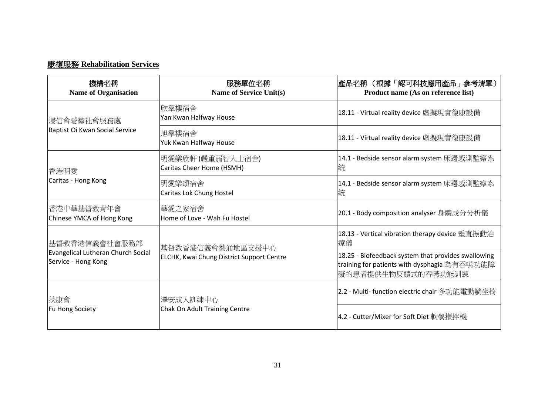## 康復服務 **Rehabilitation Services**

| 機構名稱<br><b>Name of Organisation</b>                                        | 服務單位名稱<br>Name of Service Unit(s)                                    | 產品名稱 (根據「認可科技應用產品」參考清單)<br>Product name (As on reference list)                                                            |
|----------------------------------------------------------------------------|----------------------------------------------------------------------|---------------------------------------------------------------------------------------------------------------------------|
| 浸信會愛羣社會服務處<br>Baptist Oi Kwan Social Service                               | 欣羣樓宿舍<br>Yan Kwan Halfway House                                      | 18.11 - Virtual reality device 虛擬現實復康設備                                                                                   |
|                                                                            | 旭羣樓宿舍<br>Yuk Kwan Halfway House                                      | 18.11 - Virtual reality device 虛擬現實復康設備                                                                                   |
| 香港明愛<br>Caritas - Hong Kong                                                | 明愛樂欣軒 (嚴重弱智人士宿舍)<br>Caritas Cheer Home (HSMH)                        | 14.1 - Bedside sensor alarm system 床邊感測監察系<br>統                                                                           |
|                                                                            | 明愛樂頌宿舍<br>Caritas Lok Chung Hostel                                   | 14.1 - Bedside sensor alarm system 床邊感測監察系<br>統                                                                           |
| 香港中華基督教青年會<br>Chinese YMCA of Hong Kong                                    | 華愛之家宿舍<br>Home of Love - Wah Fu Hostel                               | 20.1 - Body composition analyser 身體成分分析儀                                                                                  |
| 基督教香港信義會社會服務部<br>Evangelical Lutheran Church Social<br>Service - Hong Kong | 基督教香港信義會葵涌地區支援中心<br><b>ELCHK, Kwai Chung District Support Centre</b> | 18.13 - Vertical vibration therapy device 垂直振動治<br>療儀                                                                     |
|                                                                            |                                                                      | 18.25 - Biofeedback system that provides swallowing<br>training for patients with dysphagia 為有吞嚥功能障<br>礙的患者提供生物反饋式的吞嚥功能訓練 |
| 扶康會<br>Fu Hong Society                                                     | 澤安成人訓練中心<br>Chak On Adult Training Centre                            | 2.2 - Multi- function electric chair 多功能電動躺坐椅                                                                             |
|                                                                            |                                                                      | 4.2 - Cutter/Mixer for Soft Diet 軟餐攪拌機                                                                                    |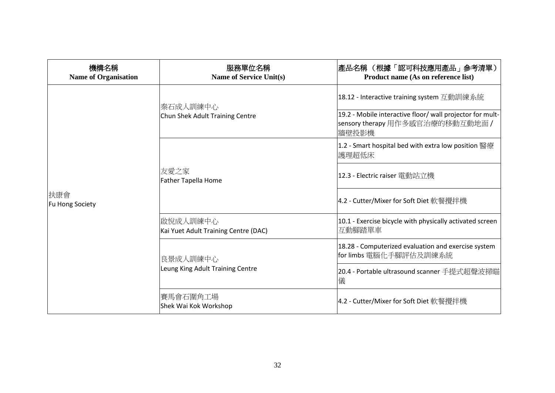| 機構名稱<br><b>Name of Organisation</b> | 服務單位名稱<br><b>Name of Service Unit(s)</b>         | 產品名稱 (根據「認可科技應用產品」參考清單)<br>Product name (As on reference list)                                         |
|-------------------------------------|--------------------------------------------------|--------------------------------------------------------------------------------------------------------|
| 扶康會<br>Fu Hong Society              | 秦石成人訓練中心<br>Chun Shek Adult Training Centre      | 18.12 - Interactive training system 互動訓練系統                                                             |
|                                     |                                                  | 19.2 - Mobile interactive floor/ wall projector for mult-<br>sensory therapy 用作多感官治療的移動互動地面 /<br>牆壁投影機 |
|                                     | 友愛之家<br><b>Father Tapella Home</b>               | 1.2 - Smart hospital bed with extra low position 醫療<br> 護理超低床                                          |
|                                     |                                                  | 12.3 - Electric raiser 電動站立機                                                                           |
|                                     |                                                  | 4.2 - Cutter/Mixer for Soft Diet 軟餐攪拌機                                                                 |
|                                     | 啟悅成人訓練中心<br>Kai Yuet Adult Training Centre (DAC) | 10.1 - Exercise bicycle with physically activated screen<br>互動腳踏單車                                     |
|                                     | 良景成人訓練中心<br>Leung King Adult Training Centre     | 18.28 - Computerized evaluation and exercise system<br>for limbs 電腦化手腳評估及訓練系統                          |
|                                     |                                                  | 20.4 - Portable ultrasound scanner 手提式超聲波掃瞄<br>儀                                                       |
|                                     | 賽馬會石圍角工場<br>Shek Wai Kok Workshop                | 4.2 - Cutter/Mixer for Soft Diet 軟餐攪拌機                                                                 |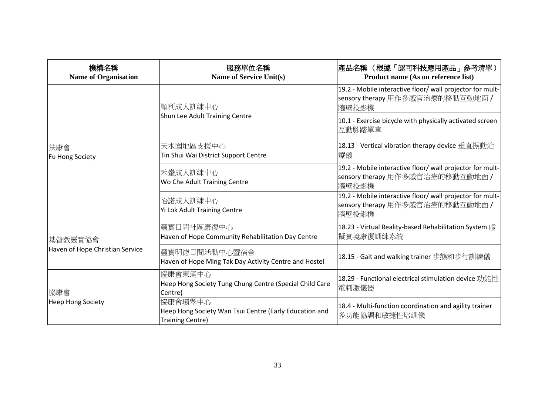| 機構名稱<br><b>Name of Organisation</b>        | 服務單位名稱<br><b>Name of Service Unit(s)</b>                                              | 產品名稱 (根據「認可科技應用產品」參考清單)<br>Product name (As on reference list)                                         |
|--------------------------------------------|---------------------------------------------------------------------------------------|--------------------------------------------------------------------------------------------------------|
|                                            | 順利成人訓練中心<br>Shun Lee Adult Training Centre                                            | 19.2 - Mobile interactive floor/ wall projector for mult-<br>sensory therapy 用作多感官治療的移動互動地面 /<br>牆壁投影機 |
|                                            |                                                                                       | 10.1 - Exercise bicycle with physically activated screen<br>互動腳踏單車                                     |
| 扶康會<br>Fu Hong Society                     | 天水圍地區支援中心<br>Tin Shui Wai District Support Centre                                     | 18.13 - Vertical vibration therapy device 垂直振動治<br>療儀                                                  |
|                                            | 禾輋成人訓練中心<br>Wo Che Adult Training Centre                                              | 19.2 - Mobile interactive floor/ wall projector for mult-<br>sensory therapy 用作多感官治療的移動互動地面 /<br>牆壁投影機 |
|                                            | 怡諾成人訓練中心<br>Yi Lok Adult Training Centre                                              | 19.2 - Mobile interactive floor/ wall projector for mult-<br>sensory therapy 用作多感官治療的移動互動地面 /<br>牆壁投影機 |
| 基督教靈實協會<br>Haven of Hope Christian Service | 靈實日間社區康復中心<br>Haven of Hope Community Rehabilitation Day Centre                       | 18.23 - Virtual Reality-based Rehabilitation System 虚<br>擬實境康復訓練系統                                     |
|                                            | 靈實明德日間活動中心暨宿舍<br>Haven of Hope Ming Tak Day Activity Centre and Hostel                | 18.15 - Gait and walking trainer 步態和步行訓練儀                                                              |
| 協康會<br><b>Heep Hong Society</b>            | 協康會東涌中心<br>Heep Hong Society Tung Chung Centre (Special Child Care<br>Centre)         | 18.29 - Functional electrical stimulation device 功能性<br>電剌激儀器                                          |
|                                            | 協康會環翠中心<br>Heep Hong Society Wan Tsui Centre (Early Education and<br>Training Centre) | 18.4 - Multi-function coordination and agility trainer<br>多功能協調和敏捷性培訓儀                                 |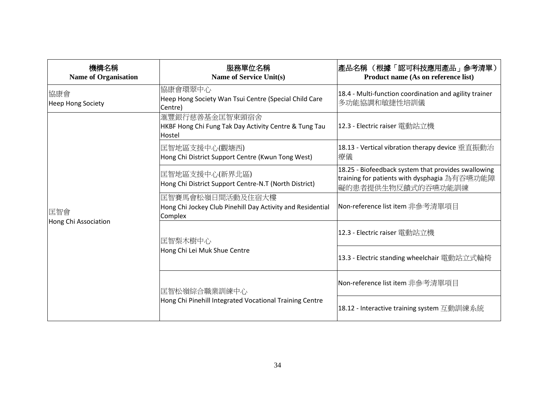| 機構名稱<br><b>Name of Organisation</b> | 服務單位名稱<br><b>Name of Service Unit(s)</b>                                                  | 產品名稱 (根據「認可科技應用產品」參考清單)<br>Product name (As on reference list)                                                            |
|-------------------------------------|-------------------------------------------------------------------------------------------|---------------------------------------------------------------------------------------------------------------------------|
| 協康會<br><b>Heep Hong Society</b>     | 協康會環翠中心<br>Heep Hong Society Wan Tsui Centre (Special Child Care<br>Centre)               | 18.4 - Multi-function coordination and agility trainer<br>多功能協調和敏捷性培訓儀                                                    |
|                                     | 滙豐銀行慈善基金匡智東頭宿舍<br>HKBF Hong Chi Fung Tak Day Activity Centre & Tung Tau<br>Hostel         | 12.3 - Electric raiser 電動站立機                                                                                              |
|                                     | 匡智地區支援中心(觀塘西)<br>Hong Chi District Support Centre (Kwun Tong West)                        | 18.13 - Vertical vibration therapy device 垂直振動治<br>療儀                                                                     |
| 匡智會<br>Hong Chi Association         | 匡智地區支援中心(新界北區)<br>Hong Chi District Support Centre-N.T (North District)                   | 18.25 - Biofeedback system that provides swallowing<br>training for patients with dysphagia 為有吞嚥功能障<br>礙的患者提供生物反饋式的吞嚥功能訓練 |
|                                     | 匡智賽馬會松嶺日間活動及住宿大樓<br>Hong Chi Jockey Club Pinehill Day Activity and Residential<br>Complex | Non-reference list item 非參考清單項目                                                                                           |
|                                     | 匡智梨木樹中心<br>Hong Chi Lei Muk Shue Centre                                                   | 12.3 - Electric raiser 電動站立機                                                                                              |
|                                     |                                                                                           | 13.3 - Electric standing wheelchair 電動站立式輪椅                                                                               |
|                                     | 匡智松嶺綜合職業訓練中心<br>Hong Chi Pinehill Integrated Vocational Training Centre                   | Non-reference list item 非參考清單項目                                                                                           |
|                                     |                                                                                           | 18.12 - Interactive training system 互動訓練系統                                                                                |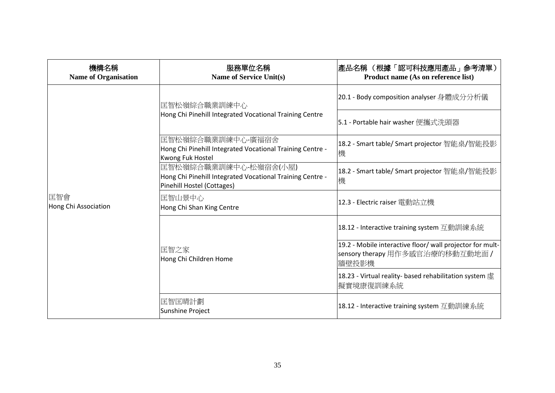| 機構名稱<br><b>Name of Organisation</b> | 服務單位名稱<br><b>Name of Service Unit(s)</b>                                                                         | 產品名稱 (根據「認可科技應用產品」參考清單)<br>Product name (As on reference list)                                         |
|-------------------------------------|------------------------------------------------------------------------------------------------------------------|--------------------------------------------------------------------------------------------------------|
|                                     | 匡智松嶺綜合職業訓練中心<br>Hong Chi Pinehill Integrated Vocational Training Centre                                          | 20.1 - Body composition analyser 身體成分分析儀                                                               |
|                                     |                                                                                                                  | 5.1 - Portable hair washer 便攜式洗頭器                                                                      |
| 匡智會<br>Hong Chi Association         | 匡智松嶺綜合職業訓練中心-廣福宿舍<br>Hong Chi Pinehill Integrated Vocational Training Centre -<br><b>Kwong Fuk Hostel</b>        | 18.2 - Smart table/ Smart projector 智能桌/智能投影<br>機                                                      |
|                                     | 匡智松嶺綜合職業訓練中心-松嶺宿舍(小屋)<br>Hong Chi Pinehill Integrated Vocational Training Centre -<br>Pinehill Hostel (Cottages) | 18.2 - Smart table/ Smart projector 智能桌/智能投影<br>機                                                      |
|                                     | 匡智山景中心<br>Hong Chi Shan King Centre                                                                              | 12.3 - Electric raiser 電動站立機                                                                           |
|                                     |                                                                                                                  | 18.12 - Interactive training system 互動訓練系統                                                             |
|                                     | 匡智之家<br>Hong Chi Children Home                                                                                   | 19.2 - Mobile interactive floor/ wall projector for mult-<br>sensory therapy 用作多感官治療的移動互動地面 /<br>牆壁投影機 |
|                                     |                                                                                                                  | 18.23 - Virtual reality- based rehabilitation system<br>擬實境康復訓練系統                                      |
|                                     | 匡智匡晴計劃<br>Sunshine Project                                                                                       | 18.12 - Interactive training system 互動訓練系統                                                             |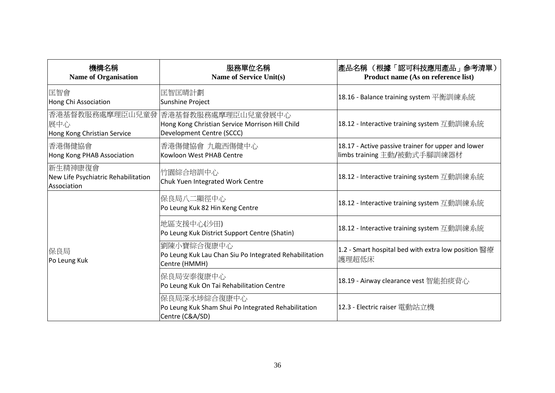| 機構名稱<br><b>Name of Organisation</b>                            | 服務單位名稱<br><b>Name of Service Unit(s)</b>                                                           | 產品名稱 (根據「認可科技應用產品」參考清單)<br>Product name (As on reference list)                    |
|----------------------------------------------------------------|----------------------------------------------------------------------------------------------------|-----------------------------------------------------------------------------------|
| 匡智會<br>Hong Chi Association                                    | 匡智匡晴計劃<br><b>Sunshine Project</b>                                                                  | 18.16 - Balance training system 平衡訓練系統                                            |
| 香港基督教服務處摩理臣山兒童發<br>展中心<br>Hong Kong Christian Service          | 香港基督教服務處摩理臣山兒童發展中心<br>Hong Kong Christian Service Morrison Hill Child<br>Development Centre (SCCC) | 18.12 - Interactive training system 互動訓練系統                                        |
| 香港傷健協會<br>Hong Kong PHAB Association                           | 香港傷健協會 九龍西傷健中心<br>Kowloon West PHAB Centre                                                         | 18.17 - Active passive trainer for upper and lower<br>limbs training 主動/被動式手腳訓練器材 |
| 新生精神康復會 <br>New Life Psychiatric Rehabilitation<br>Association | 竹園綜合培訓中心<br>Chuk Yuen Integrated Work Centre                                                       | 18.12 - Interactive training system 互動訓練系統                                        |
| 保良局<br>Po Leung Kuk                                            | 保良局八二顯徑中心<br>Po Leung Kuk 82 Hin Keng Centre                                                       | 18.12 - Interactive training system 互動訓練系統                                        |
|                                                                | 地區支援中心(沙田)<br>Po Leung Kuk District Support Centre (Shatin)                                        | 18.12 - Interactive training system 互動訓練系統                                        |
|                                                                | 劉陳小寶綜合復康中心<br>Po Leung Kuk Lau Chan Siu Po Integrated Rehabilitation<br>Centre (HMMH)              | 1.2 - Smart hospital bed with extra low position 醫療<br>護理超低床                      |
|                                                                | 保良局安泰復康中心<br>Po Leung Kuk On Tai Rehabilitation Centre                                             | 18.19 - Airway clearance vest 智能拍痰背心                                              |
|                                                                | 保良局深水埗綜合復康中心<br>Po Leung Kuk Sham Shui Po Integrated Rehabilitation<br>Centre (C&A/SD)             | 12.3 - Electric raiser 電動站立機                                                      |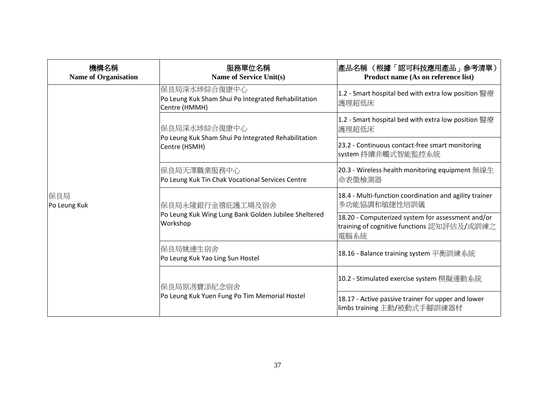| 機構名稱<br><b>Name of Organisation</b> | 服務單位名稱<br><b>Name of Service Unit(s)</b>                                             | 產品名稱 (根據「認可科技應用產品」參考清單)<br>Product name (As on reference list)                                          |
|-------------------------------------|--------------------------------------------------------------------------------------|---------------------------------------------------------------------------------------------------------|
| 保良局<br>Po Leung Kuk                 | 保良局深水埗綜合復康中心<br>Po Leung Kuk Sham Shui Po Integrated Rehabilitation<br>Centre (HMMH) | 1.2 - Smart hospital bed with extra low position 醫療<br>護理超低床                                            |
|                                     | 保良局深水埗綜合復康中心<br>Po Leung Kuk Sham Shui Po Integrated Rehabilitation<br>Centre (HSMH) | 1.2 - Smart hospital bed with extra low position 醫療<br>護理超低床                                            |
|                                     |                                                                                      | 23.2 - Continuous contact-free smart monitoring<br>system 持續非觸式智能監控系統                                   |
|                                     | 保良局天澤職業服務中心<br>Po Leung Kuk Tin Chak Vocational Services Centre                      | 20.3 - Wireless health monitoring equipment 無線生<br>命表徵檢測器                                               |
|                                     | 保良局永隆銀行金禧庇護工場及宿舍                                                                     | 18.4 - Multi-function coordination and agility trainer<br>多功能協調和敏捷性培訓儀                                  |
|                                     | Po Leung Kuk Wing Lung Bank Golden Jubilee Sheltered<br>Workshop                     | 18.20 - Computerized system for assessment and/or<br>training of cognitive functions 認知評估及/或訓練之<br>電腦系統 |
|                                     | 保良局姚連生宿舍<br>Po Leung Kuk Yao Ling Sun Hostel                                         | 18.16 - Balance training system 平衡訓練系統                                                                  |
|                                     | 保良局原馮寶添紀念宿舍<br>Po Leung Kuk Yuen Fung Po Tim Memorial Hostel                         | 10.2 - Stimulated exercise system 模擬運動系統                                                                |
|                                     |                                                                                      | 18.17 - Active passive trainer for upper and lower<br>limbs training 主動/被動式手腳訓練器材                       |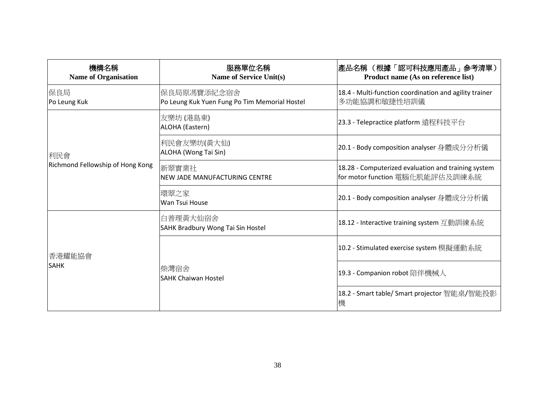| 機構名稱<br><b>Name of Organisation</b> | 服務單位名稱<br><b>Name of Service Unit(s)</b>                     | 產品名稱 (根據「認可科技應用產品」參考清單)<br>Product name (As on reference list)                         |
|-------------------------------------|--------------------------------------------------------------|----------------------------------------------------------------------------------------|
| 保良局<br>Po Leung Kuk                 | 保良局原馮寶添紀念宿舍<br>Po Leung Kuk Yuen Fung Po Tim Memorial Hostel | 18.4 - Multi-function coordination and agility trainer<br>多功能協調和敏捷性培訓儀                 |
|                                     | 友樂坊 (港島東)<br>ALOHA (Eastern)                                 | 23.3 - Telepractice platform 遠程科技平台                                                    |
| 利民會                                 | 利民會友樂坊(黃大仙)<br>ALOHA (Wong Tai Sin)                          | 20.1 - Body composition analyser 身體成分分析儀                                               |
| Richmond Fellowship of Hong Kong    | 新翠實業社<br>NEW JADE MANUFACTURING CENTRE                       | 18.28 - Computerized evaluation and training system<br>for motor function 電腦化肌能評估及訓練系統 |
|                                     | 環翠之家<br>Wan Tsui House                                       | 20.1 - Body composition analyser 身體成分分析儀                                               |
| 香港耀能協會<br><b>SAHK</b>               | 白普理黃大仙宿舍<br>SAHK Bradbury Wong Tai Sin Hostel                | 18.12 - Interactive training system 互動訓練系統                                             |
|                                     |                                                              | 10.2 - Stimulated exercise system 模擬運動系統                                               |
|                                     | 柴灣宿舍<br><b>SAHK Chaiwan Hostel</b>                           | 19.3 - Companion robot 陪伴機械人                                                           |
|                                     |                                                              | 18.2 - Smart table/ Smart projector 智能桌/智能投影<br>機                                      |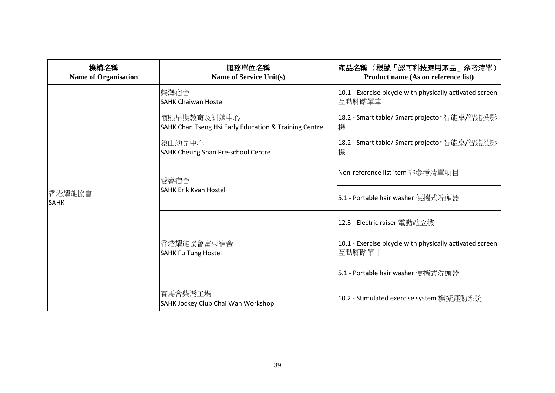| 機構名稱<br><b>Name of Organisation</b> | 服務單位名稱<br><b>Name of Service Unit(s)</b>                             | 產品名稱 (根據「認可科技應用產品」參考清單)<br>Product name (As on reference list)     |
|-------------------------------------|----------------------------------------------------------------------|--------------------------------------------------------------------|
|                                     | 柴灣宿舍<br><b>SAHK Chaiwan Hostel</b>                                   | 10.1 - Exercise bicycle with physically activated screen<br>互動腳踏單車 |
|                                     | 懷熙早期教育及訓練中心<br>SAHK Chan Tseng Hsi Early Education & Training Centre | 18.2 - Smart table/ Smart projector 智能桌/智能投影<br>機                  |
|                                     | 象山幼兒中心<br>SAHK Cheung Shan Pre-school Centre                         | 18.2 - Smart table/ Smart projector 智能桌/智能投影<br>機                  |
| 香港耀能協會<br><b>SAHK</b>               | 愛睿宿舍                                                                 | Non-reference list item 非參考清單項目                                    |
|                                     | <b>SAHK Erik Kvan Hostel</b>                                         | 5.1 - Portable hair washer 便攜式洗頭器                                  |
|                                     | 香港耀能協會富東宿舍<br><b>SAHK Fu Tung Hostel</b>                             | 12.3 - Electric raiser 電動站立機                                       |
|                                     |                                                                      | 10.1 - Exercise bicycle with physically activated screen<br>互動腳踏單車 |
|                                     |                                                                      | <b>5.1 - Portable hair washer</b> 便攜式洗頭器                           |
|                                     | 賽馬會柴灣工場<br>SAHK Jockey Club Chai Wan Workshop                        | 10.2 - Stimulated exercise system 模擬運動系統                           |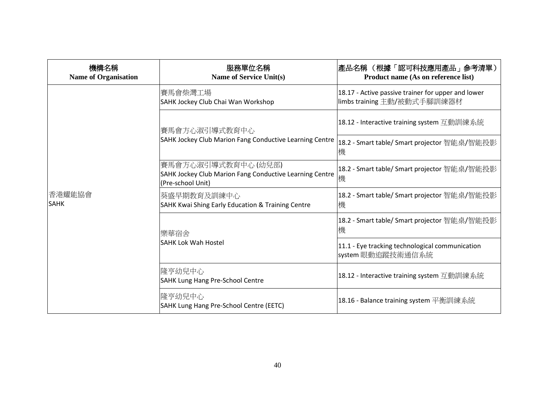| 機構名稱<br><b>Name of Organisation</b> | 服務單位名稱<br><b>Name of Service Unit(s)</b>                                                           | 產品名稱 (根據「認可科技應用產品」參考清單)<br>Product name (As on reference list)                    |
|-------------------------------------|----------------------------------------------------------------------------------------------------|-----------------------------------------------------------------------------------|
| 香港耀能協會<br><b>SAHK</b>               | 賽馬會柴灣工場<br>SAHK Jockey Club Chai Wan Workshop                                                      | 18.17 - Active passive trainer for upper and lower<br>limbs training 主動/被動式手腳訓練器材 |
|                                     | 賽馬會方心淑引導式教育中心<br>SAHK Jockey Club Marion Fang Conductive Learning Centre                           | 18.12 - Interactive training system 互動訓練系統                                        |
|                                     |                                                                                                    | 18.2 - Smart table/ Smart projector 智能桌/智能投影<br>機                                 |
|                                     | 賽馬會方心淑引導式教育中心(幼兒部)<br>SAHK Jockey Club Marion Fang Conductive Learning Centre<br>(Pre-school Unit) | 18.2 - Smart table/ Smart projector 智能桌/智能投影<br>機                                 |
|                                     | 葵盛早期教育及訓練中心<br>SAHK Kwai Shing Early Education & Training Centre                                   | 18.2 - Smart table/ Smart projector 智能桌/智能投影<br>機                                 |
|                                     | 樂華宿舍                                                                                               | 18.2 - Smart table/ Smart projector 智能桌/智能投影<br>機                                 |
|                                     | <b>SAHK Lok Wah Hostel</b>                                                                         | 11.1 - Eye tracking technological communication<br>system 眼動追蹤技術通信系統              |
|                                     | 隆亨幼兒中心<br><b>SAHK Lung Hang Pre-School Centre</b>                                                  | 18.12 - Interactive training system 互動訓練系統                                        |
|                                     | 隆亨幼兒中心<br>SAHK Lung Hang Pre-School Centre (EETC)                                                  | 18.16 - Balance training system 平衡訓練系統                                            |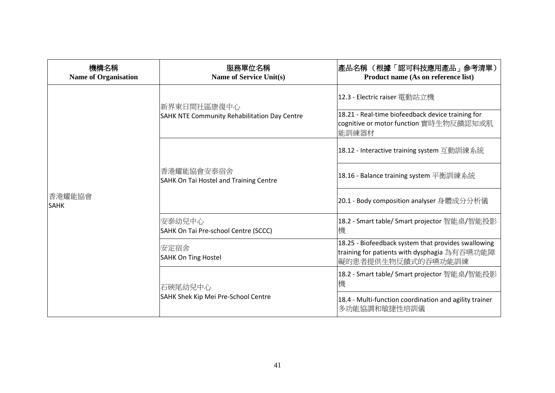| 機構名稱<br><b>Name of Organisation</b> | 服務單位名稱<br><b>Name of Service Unit(s)</b>                           | 產品名稱 (根據「認可科技應用產品」參考清單)<br>Product name (As on reference list)                                                            |
|-------------------------------------|--------------------------------------------------------------------|---------------------------------------------------------------------------------------------------------------------------|
| 香港耀能協會<br><b>SAHK</b>               | 新界東日間社區康復中心<br><b>SAHK NTE Community Rehabilitation Day Centre</b> | 12.3 - Electric raiser 電動站立機                                                                                              |
|                                     |                                                                    | 18.21 - Real-time biofeedback device training for<br>cognitive or motor function 實時生物反饋認知或肌<br>能訓練器材                      |
|                                     | 香港耀能協會安泰宿舍<br>SAHK On Tai Hostel and Training Centre               | 18.12 - Interactive training system 互動訓練系統                                                                                |
|                                     |                                                                    | 18.16 - Balance training system 平衡訓練系統                                                                                    |
|                                     |                                                                    | 20.1 - Body composition analyser 身體成分分析儀                                                                                  |
|                                     | 安泰幼兒中心<br>SAHK On Tai Pre-school Centre (SCCC)                     | 18.2 - Smart table/ Smart projector 智能桌/智能投影<br>機                                                                         |
|                                     | 安定宿舍 <br><b>SAHK On Ting Hostel</b>                                | 18.25 - Biofeedback system that provides swallowing<br>training for patients with dysphagia 為有吞嚥功能障<br>礙的患者提供生物反饋式的吞嚥功能訓練 |
|                                     | 石硤尾幼兒中心<br>SAHK Shek Kip Mei Pre-School Centre                     | 18.2 - Smart table/ Smart projector 智能桌/智能投影<br>機                                                                         |
|                                     |                                                                    | 18.4 - Multi-function coordination and agility trainer<br>多功能協調和敏捷性培訓儀                                                    |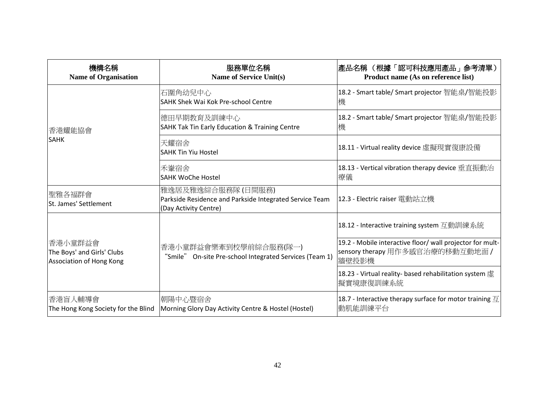| 機構名稱<br><b>Name of Organisation</b>                               | 服務單位名稱<br><b>Name of Service Unit(s)</b>                                                               | 產品名稱 (根據「認可科技應用產品」參考清單)<br>Product name (As on reference list)                                         |
|-------------------------------------------------------------------|--------------------------------------------------------------------------------------------------------|--------------------------------------------------------------------------------------------------------|
|                                                                   | 石圍角幼兒中心<br>SAHK Shek Wai Kok Pre-school Centre                                                         | 18.2 - Smart table/ Smart projector 智能桌/智能投影<br>機                                                      |
| 香港耀能協會                                                            | 德田早期教育及訓練中心<br>SAHK Tak Tin Early Education & Training Centre                                          | 18.2 - Smart table/ Smart projector 智能桌/智能投影<br>機                                                      |
| <b>SAHK</b>                                                       | 天耀宿舍<br><b>SAHK Tin Yiu Hostel</b>                                                                     | 18.11 - Virtual reality device 虛擬現實復康設備                                                                |
|                                                                   | 禾輋宿舍<br><b>SAHK WoChe Hostel</b>                                                                       | 18.13 - Vertical vibration therapy device 垂直振動治<br>療儀                                                  |
| 聖雅各福群會<br>St. James' Settlement                                   | 雅逸居及雅逸綜合服務隊 (日間服務)<br>Parkside Residence and Parkside Integrated Service Team<br>(Day Activity Centre) | 12.3 - Electric raiser 電動站立機                                                                           |
|                                                                   |                                                                                                        | 18.12 - Interactive training system 互動訓練系統                                                             |
| 香港小童群益會<br>The Boys' and Girls' Clubs<br>Association of Hong Kong | 香港小童群益會樂牽到校學前綜合服務(隊一)<br>"Smile" On-site Pre-school Integrated Services (Team 1)                       | 19.2 - Mobile interactive floor/ wall projector for mult-<br>sensory therapy 用作多感官治療的移動互動地面 /<br>牆壁投影機 |
|                                                                   |                                                                                                        | 18.23 - Virtual reality- based rehabilitation system 虚<br>擬實境康復訓練系統                                    |
| 香港盲人輔導會<br>The Hong Kong Society for the Blind                    | 朝陽中心暨宿舍<br>Morning Glory Day Activity Centre & Hostel (Hostel)                                         | 18.7 - Interactive therapy surface for motor training $\overline{\mathcal{I}}$<br>動肌能訓練平台              |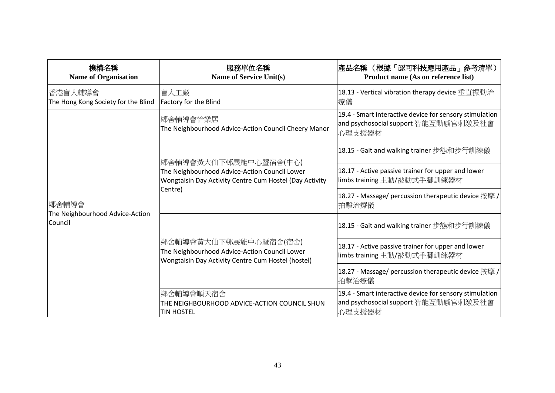| 機構名稱<br><b>Name of Organisation</b>                 | 服務單位名稱<br><b>Name of Service Unit(s)</b>                                                                                                     | 產品名稱 (根據「認可科技應用產品」參考清單)<br>Product name (As on reference list)                                            |
|-----------------------------------------------------|----------------------------------------------------------------------------------------------------------------------------------------------|-----------------------------------------------------------------------------------------------------------|
| 香港盲人輔導會<br>The Hong Kong Society for the Blind      | 盲人工廠<br><b>Factory for the Blind</b>                                                                                                         | 18.13 - Vertical vibration therapy device 垂直振動治<br>療儀                                                     |
|                                                     | 鄰舍輔導會怡樂居<br>The Neighbourhood Advice-Action Council Cheery Manor                                                                             | 19.4 - Smart interactive device for sensory stimulation<br>and psychosocial support 智能互動感官刺激及社會<br>心理支援器材 |
|                                                     | 鄰舍輔導會黃大仙下邨展能中心暨宿舍(中心)<br>The Neighbourhood Advice-Action Council Lower<br>Wongtaisin Day Activity Centre Cum Hostel (Day Activity<br>Centre) | 18.15 - Gait and walking trainer 步態和步行訓練儀                                                                 |
| 鄰舍輔導會<br>The Neighbourhood Advice-Action<br>Council |                                                                                                                                              | 18.17 - Active passive trainer for upper and lower<br>limbs training 主動/被動式手腳訓練器材                         |
|                                                     |                                                                                                                                              | 18.27 - Massage/ percussion therapeutic device 按摩 /<br>拍擊治療儀                                              |
|                                                     |                                                                                                                                              | 18.15 - Gait and walking trainer 步熊和步行訓練儀                                                                 |
|                                                     | 鄰舍輔導會黃大仙下邨展能中心暨宿舍(宿舍)<br>The Neighbourhood Advice-Action Council Lower<br>Wongtaisin Day Activity Centre Cum Hostel (hostel)                 | 18.17 - Active passive trainer for upper and lower<br>limbs training 主動/被動式手腳訓練器材                         |
|                                                     |                                                                                                                                              | 18.27 - Massage/ percussion therapeutic device 按摩 /<br>拍擊治療儀                                              |
|                                                     | 鄰舍輔導會順天宿舍<br>THE NEIGHBOURHOOD ADVICE-ACTION COUNCIL SHUN<br><b>TIN HOSTEL</b>                                                               | 19.4 - Smart interactive device for sensory stimulation<br>and psychosocial support 智能互動感官刺激及社會<br>心理支援器材 |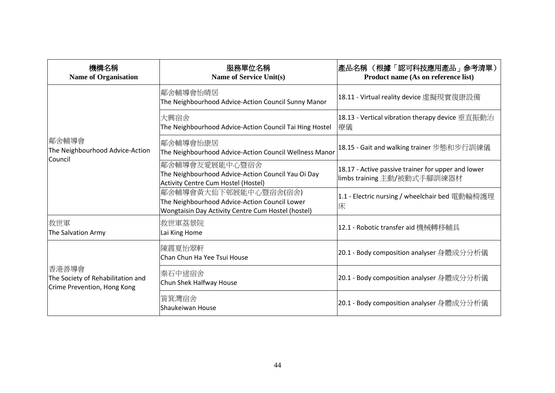| 機構名稱<br><b>Name of Organisation</b>                                       | 服務單位名稱<br><b>Name of Service Unit(s)</b>                                                                                     | 產品名稱 (根據「認可科技應用產品」參考清單)<br>Product name (As on reference list)                    |
|---------------------------------------------------------------------------|------------------------------------------------------------------------------------------------------------------------------|-----------------------------------------------------------------------------------|
|                                                                           | 鄰舍輔導會怡晴居<br>The Neighbourhood Advice-Action Council Sunny Manor                                                              | 18.11 - Virtual reality device 虛擬現實復康設備                                           |
|                                                                           | 大興宿舍<br>The Neighbourhood Advice-Action Council Tai Hing Hostel                                                              | 18.13 - Vertical vibration therapy device 垂直振動治<br>療儀                             |
| 鄰舍輔導會<br>The Neighbourhood Advice-Action<br>Council                       | 鄰舍輔導會怡康居<br>The Neighbourhood Advice-Action Council Wellness Manor                                                           | 18.15 - Gait and walking trainer 步態和步行訓練儀                                         |
|                                                                           | 鄰舍輔導會友愛展能中心暨宿舍<br>The Neighbourhood Advice-Action Council Yau Oi Day<br>Activity Centre Cum Hostel (Hostel)                  | 18.17 - Active passive trainer for upper and lower<br>limbs training 主動/被動式手腳訓練器材 |
|                                                                           | 鄰舍輔導會黃大仙下邨展能中心暨宿舍(宿舍)<br>The Neighbourhood Advice-Action Council Lower<br>Wongtaisin Day Activity Centre Cum Hostel (hostel) | 1.1 - Electric nursing / wheelchair bed 電動輪椅護理<br>床                               |
| 救世軍<br>The Salvation Army                                                 | 救世軍荔景院<br>Lai King Home                                                                                                      | 12.1 - Robotic transfer aid 機械轉移輔具                                                |
| 香港善導會<br>The Society of Rehabilitation and<br>Crime Prevention, Hong Kong | 陳震夏怡翠軒<br>Chan Chun Ha Yee Tsui House                                                                                        | 20.1 - Body composition analyser 身體成分分析儀                                          |
|                                                                           | 秦石中途宿舍<br>Chun Shek Halfway House                                                                                            | 20.1 - Body composition analyser 身體成分分析儀                                          |
|                                                                           | 筲箕灣宿舍<br>Shaukeiwan House                                                                                                    | 20.1 - Body composition analyser 身體成分分析儀                                          |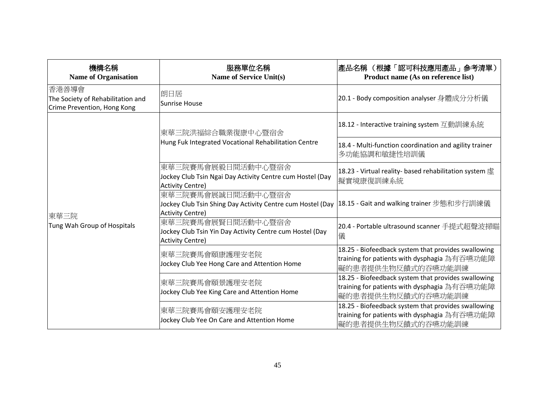| 機構名稱<br><b>Name of Organisation</b>                                       | 服務單位名稱<br><b>Name of Service Unit(s)</b>                                                                                                                | 產品名稱 (根據「認可科技應用產品」參考清單)<br>Product name (As on reference list)                                                            |
|---------------------------------------------------------------------------|---------------------------------------------------------------------------------------------------------------------------------------------------------|---------------------------------------------------------------------------------------------------------------------------|
| 香港善導會<br>The Society of Rehabilitation and<br>Crime Prevention, Hong Kong | 朗日居<br><b>Sunrise House</b>                                                                                                                             | 20.1 - Body composition analyser 身體成分分析儀                                                                                  |
|                                                                           | 東華三院洪福綜合職業復康中心暨宿舍<br>Hung Fuk Integrated Vocational Rehabilitation Centre                                                                               | 18.12 - Interactive training system 互動訓練系統                                                                                |
|                                                                           |                                                                                                                                                         | 18.4 - Multi-function coordination and agility trainer<br>多功能協調和敏捷性培訓儀                                                    |
| 東華三院<br>Tung Wah Group of Hospitals                                       | 東華三院賽馬會展毅日間活動中心暨宿舍<br>Jockey Club Tsin Ngai Day Activity Centre cum Hostel (Day<br>Activity Centre)                                                     | 18.23 - Virtual reality- based rehabilitation system 虚<br>擬實境康復訓練系統                                                       |
|                                                                           | 東華三院賽馬會展誠日間活動中心暨宿舍<br> Jockey Club Tsin Shing Day Activity Centre cum Hostel (Day  18.15 - Gait and walking trainer 步態和步行訓練儀<br><b>Activity Centre)</b> |                                                                                                                           |
|                                                                           | 東華三院賽馬會展賢日間活動中心暨宿舍<br>Jockey Club Tsin Yin Day Activity Centre cum Hostel (Day<br><b>Activity Centre)</b>                                               | 20.4 - Portable ultrasound scanner 手提式超聲波掃瞄<br>儀                                                                          |
|                                                                           | 東華三院賽馬會頤康護理安老院<br>Jockey Club Yee Hong Care and Attention Home                                                                                          | 18.25 - Biofeedback system that provides swallowing<br>training for patients with dysphagia 為有吞嚥功能障<br>礙的患者提供生物反饋式的吞嚥功能訓練 |
|                                                                           | 東華三院賽馬會頤景護理安老院<br>Jockey Club Yee King Care and Attention Home                                                                                          | 18.25 - Biofeedback system that provides swallowing<br>training for patients with dysphagia 為有吞嚥功能障<br>礙的患者提供生物反饋式的吞嚥功能訓練 |
|                                                                           | 東華三院賽馬會頤安護理安老院<br>Jockey Club Yee On Care and Attention Home                                                                                            | 18.25 - Biofeedback system that provides swallowing<br>training for patients with dysphagia 為有吞嚥功能障<br>礙的患者提供生物反饋式的吞嚥功能訓練 |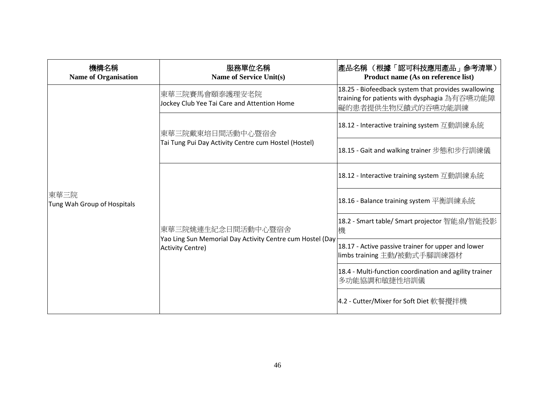| 機構名稱<br><b>Name of Organisation</b> | 服務單位名稱<br><b>Name of Service Unit(s)</b>                                                                                        | 產品名稱 (根據「認可科技應用產品」參考清單)<br>Product name (As on reference list)                                                            |
|-------------------------------------|---------------------------------------------------------------------------------------------------------------------------------|---------------------------------------------------------------------------------------------------------------------------|
|                                     | 東華三院賽馬會頤泰護理安老院<br>Jockey Club Yee Tai Care and Attention Home                                                                   | 18.25 - Biofeedback system that provides swallowing<br>training for patients with dysphagia 為有吞嚥功能障<br>礙的患者提供生物反饋式的吞嚥功能訓練 |
|                                     | 東華三院戴東培日間活動中心暨宿舍                                                                                                                | 18.12 - Interactive training system 互動訓練系統                                                                                |
|                                     | Tai Tung Pui Day Activity Centre cum Hostel (Hostel)                                                                            | 18.15 - Gait and walking trainer 步態和步行訓練儀                                                                                 |
|                                     | 東華三院姚連生紀念日間活動中心暨宿舍<br>機<br>Yao Ling Sun Memorial Day Activity Centre cum Hostel (Day<br><b>Activity Centre)</b><br>多功能協調和敏捷性培訓儀 | 18.12 - Interactive training system 互動訓練系統                                                                                |
| 東華三院<br>Tung Wah Group of Hospitals |                                                                                                                                 | 18.16 - Balance training system 平衡訓練系統                                                                                    |
|                                     |                                                                                                                                 | 18.2 - Smart table/ Smart projector 智能桌/智能投影                                                                              |
|                                     |                                                                                                                                 | 18.17 - Active passive trainer for upper and lower<br>limbs training 主動/被動式手腳訓練器材                                         |
|                                     |                                                                                                                                 | 18.4 - Multi-function coordination and agility trainer                                                                    |
|                                     |                                                                                                                                 | 4.2 - Cutter/Mixer for Soft Diet 軟餐攪拌機                                                                                    |